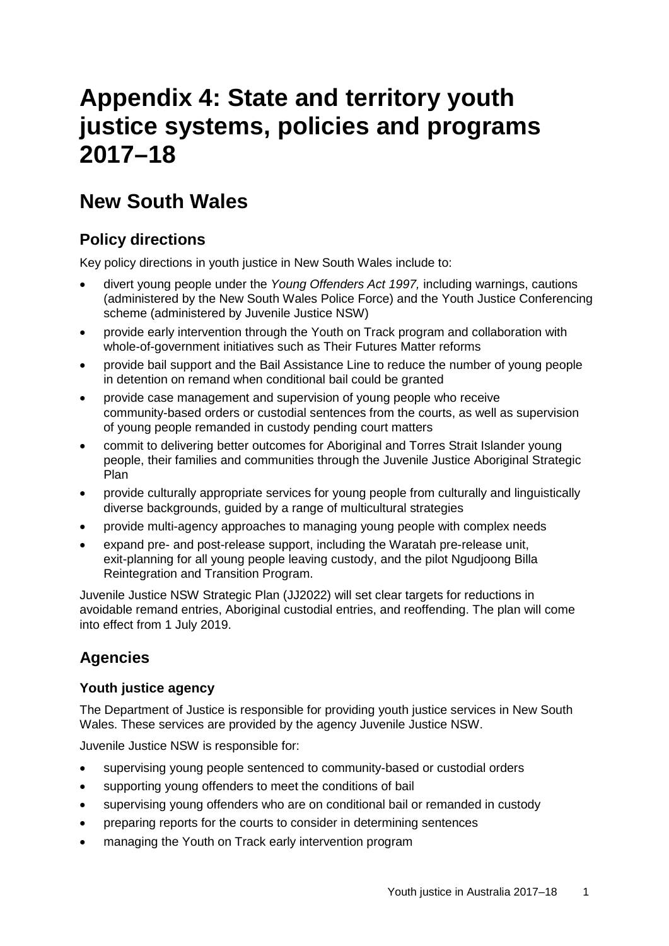# **Appendix 4: State and territory youth justice systems, policies and programs 2017–18**

# **New South Wales**

# **Policy directions**

Key policy directions in youth justice in New South Wales include to:

- divert young people under the *Young Offenders Act 1997,* including warnings, cautions (administered by the New South Wales Police Force) and the Youth Justice Conferencing scheme (administered by Juvenile Justice NSW)
- provide early intervention through the Youth on Track program and collaboration with whole-of-government initiatives such as Their Futures Matter reforms
- provide bail support and the Bail Assistance Line to reduce the number of young people in detention on remand when conditional bail could be granted
- provide case management and supervision of young people who receive community-based orders or custodial sentences from the courts, as well as supervision of young people remanded in custody pending court matters
- commit to delivering better outcomes for Aboriginal and Torres Strait Islander young people, their families and communities through the Juvenile Justice Aboriginal Strategic Plan
- provide culturally appropriate services for young people from culturally and linguistically diverse backgrounds, guided by a range of multicultural strategies
- provide multi-agency approaches to managing young people with complex needs
- expand pre- and post-release support, including the Waratah pre-release unit, exit-planning for all young people leaving custody, and the pilot Ngudjoong Billa Reintegration and Transition Program.

Juvenile Justice NSW Strategic Plan (JJ2022) will set clear targets for reductions in avoidable remand entries, Aboriginal custodial entries, and reoffending. The plan will come into effect from 1 July 2019.

# **Agencies**

# **Youth justice agency**

The Department of Justice is responsible for providing youth justice services in New South Wales. These services are provided by the agency Juvenile Justice NSW.

Juvenile Justice NSW is responsible for:

- supervising young people sentenced to community-based or custodial orders
- supporting young offenders to meet the conditions of bail
- supervising young offenders who are on conditional bail or remanded in custody
- preparing reports for the courts to consider in determining sentences
- managing the Youth on Track early intervention program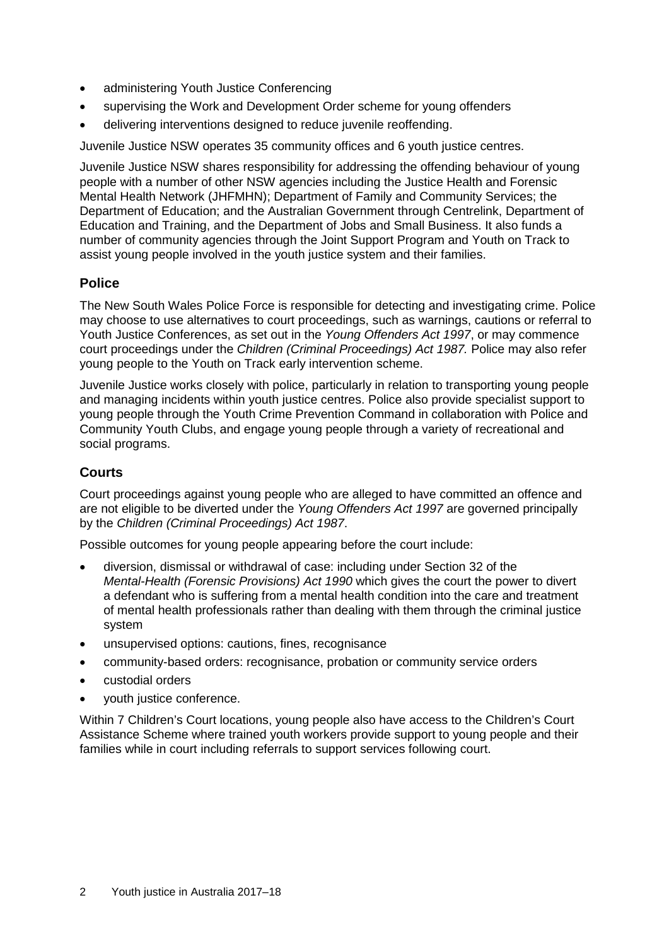- administering Youth Justice Conferencing
- supervising the Work and Development Order scheme for young offenders
- delivering interventions designed to reduce juvenile reoffending.

Juvenile Justice NSW operates 35 community offices and 6 youth justice centres.

Juvenile Justice NSW shares responsibility for addressing the offending behaviour of young people with a number of other NSW agencies including the Justice Health and Forensic Mental Health Network (JHFMHN); Department of Family and Community Services; the Department of Education; and the Australian Government through Centrelink, Department of Education and Training, and the Department of Jobs and Small Business. It also funds a number of community agencies through the Joint Support Program and Youth on Track to assist young people involved in the youth justice system and their families.

## **Police**

The New South Wales Police Force is responsible for detecting and investigating crime. Police may choose to use alternatives to court proceedings, such as warnings, cautions or referral to Youth Justice Conferences, as set out in the *Young Offenders Act 1997*, or may commence court proceedings under the *Children (Criminal Proceedings) Act 1987.* Police may also refer young people to the Youth on Track early intervention scheme.

Juvenile Justice works closely with police, particularly in relation to transporting young people and managing incidents within youth justice centres. Police also provide specialist support to young people through the Youth Crime Prevention Command in collaboration with Police and Community Youth Clubs, and engage young people through a variety of recreational and social programs.

#### **Courts**

Court proceedings against young people who are alleged to have committed an offence and are not eligible to be diverted under the *Young Offenders Act 1997* are governed principally by the *Children (Criminal Proceedings) Act 1987*.

Possible outcomes for young people appearing before the court include:

- diversion, dismissal or withdrawal of case: including under Section 32 of the *Mental-Health (Forensic Provisions) Act 1990* which gives the court the power to divert a defendant who is suffering from a mental health condition into the care and treatment of mental health professionals rather than dealing with them through the criminal justice system
- unsupervised options: cautions, fines, recognisance
- community-based orders: recognisance, probation or community service orders
- custodial orders
- youth justice conference.

Within 7 Children's Court locations, young people also have access to the Children's Court Assistance Scheme where trained youth workers provide support to young people and their families while in court including referrals to support services following court.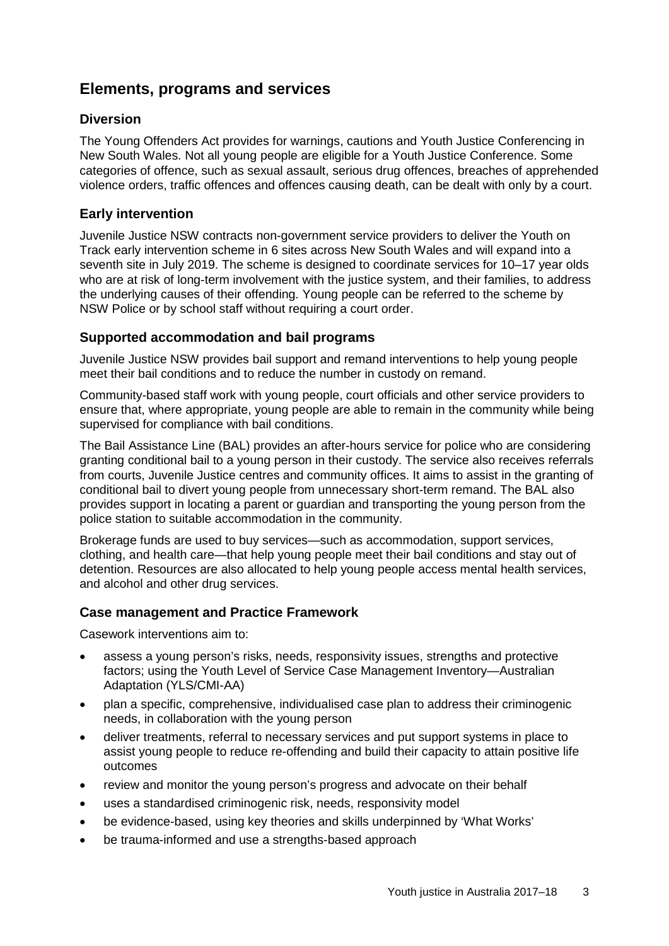# **Elements, programs and services**

## **Diversion**

The Young Offenders Act provides for warnings, cautions and Youth Justice Conferencing in New South Wales. Not all young people are eligible for a Youth Justice Conference. Some categories of offence, such as sexual assault, serious drug offences, breaches of apprehended violence orders, traffic offences and offences causing death, can be dealt with only by a court.

#### **Early intervention**

Juvenile Justice NSW contracts non-government service providers to deliver the Youth on Track early intervention scheme in 6 sites across New South Wales and will expand into a seventh site in July 2019. The scheme is designed to coordinate services for 10–17 year olds who are at risk of long-term involvement with the justice system, and their families, to address the underlying causes of their offending. Young people can be referred to the scheme by NSW Police or by school staff without requiring a court order.

## **Supported accommodation and bail programs**

Juvenile Justice NSW provides bail support and remand interventions to help young people meet their bail conditions and to reduce the number in custody on remand.

Community-based staff work with young people, court officials and other service providers to ensure that, where appropriate, young people are able to remain in the community while being supervised for compliance with bail conditions.

The Bail Assistance Line (BAL) provides an after-hours service for police who are considering granting conditional bail to a young person in their custody. The service also receives referrals from courts, Juvenile Justice centres and community offices. It aims to assist in the granting of conditional bail to divert young people from unnecessary short-term remand. The BAL also provides support in locating a parent or guardian and transporting the young person from the police station to suitable accommodation in the community.

Brokerage funds are used to buy services—such as accommodation, support services, clothing, and health care—that help young people meet their bail conditions and stay out of detention. Resources are also allocated to help young people access mental health services, and alcohol and other drug services.

#### **Case management and Practice Framework**

Casework interventions aim to:

- assess a young person's risks, needs, responsivity issues, strengths and protective factors; using the Youth Level of Service Case Management Inventory—Australian Adaptation (YLS/CMI-AA)
- plan a specific, comprehensive, individualised case plan to address their criminogenic needs, in collaboration with the young person
- deliver treatments, referral to necessary services and put support systems in place to assist young people to reduce re-offending and build their capacity to attain positive life outcomes
- review and monitor the young person's progress and advocate on their behalf
- uses a standardised criminogenic risk, needs, responsivity model
- be evidence-based, using key theories and skills underpinned by 'What Works'
- be trauma-informed and use a strengths-based approach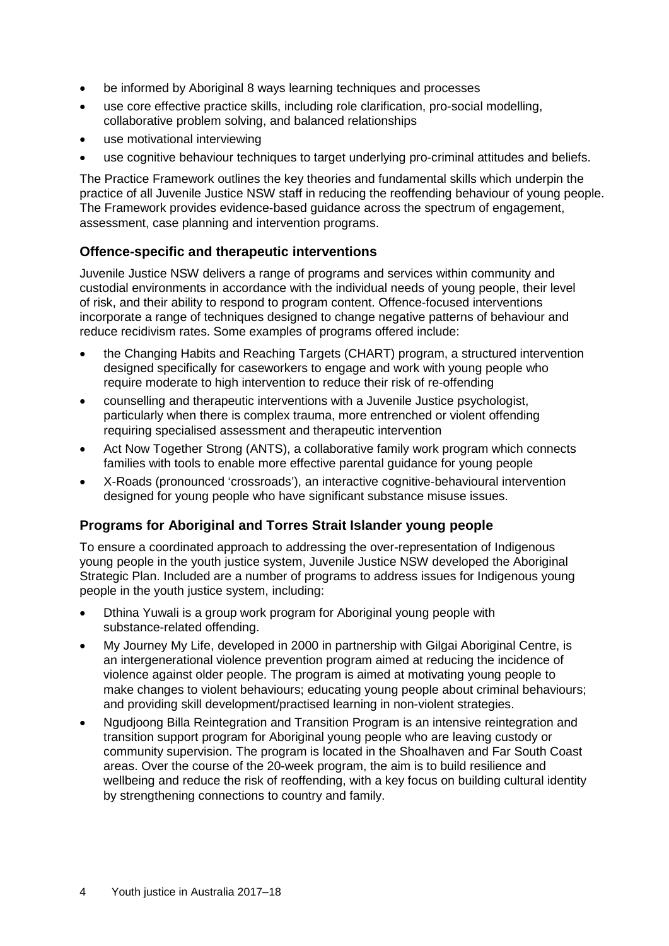- be informed by Aboriginal 8 ways learning techniques and processes
- use core effective practice skills, including role clarification, pro-social modelling, collaborative problem solving, and balanced relationships
- use motivational interviewing
- use cognitive behaviour techniques to target underlying pro-criminal attitudes and beliefs.

The Practice Framework outlines the key theories and fundamental skills which underpin the practice of all Juvenile Justice NSW staff in reducing the reoffending behaviour of young people. The Framework provides evidence-based guidance across the spectrum of engagement, assessment, case planning and intervention programs.

## **Offence-specific and therapeutic interventions**

Juvenile Justice NSW delivers a range of programs and services within community and custodial environments in accordance with the individual needs of young people, their level of risk, and their ability to respond to program content. Offence-focused interventions incorporate a range of techniques designed to change negative patterns of behaviour and reduce recidivism rates. Some examples of programs offered include:

- the Changing Habits and Reaching Targets (CHART) program, a structured intervention designed specifically for caseworkers to engage and work with young people who require moderate to high intervention to reduce their risk of re-offending
- counselling and therapeutic interventions with a Juvenile Justice psychologist, particularly when there is complex trauma, more entrenched or violent offending requiring specialised assessment and therapeutic intervention
- Act Now Together Strong (ANTS), a collaborative family work program which connects families with tools to enable more effective parental guidance for young people
- X-Roads (pronounced 'crossroads'), an interactive cognitive-behavioural intervention designed for young people who have significant substance misuse issues.

#### **Programs for Aboriginal and Torres Strait Islander young people**

To ensure a coordinated approach to addressing the over-representation of Indigenous young people in the youth justice system, Juvenile Justice NSW developed the Aboriginal Strategic Plan. Included are a number of programs to address issues for Indigenous young people in the youth justice system, including:

- Dthina Yuwali is a group work program for Aboriginal young people with substance-related offending.
- My Journey My Life, developed in 2000 in partnership with Gilgai Aboriginal Centre, is an intergenerational violence prevention program aimed at reducing the incidence of violence against older people. The program is aimed at motivating young people to make changes to violent behaviours; educating young people about criminal behaviours; and providing skill development/practised learning in non-violent strategies.
- Ngudjoong Billa Reintegration and Transition Program is an intensive reintegration and transition support program for Aboriginal young people who are leaving custody or community supervision. The program is located in the Shoalhaven and Far South Coast areas. Over the course of the 20-week program, the aim is to build resilience and wellbeing and reduce the risk of reoffending, with a key focus on building cultural identity by strengthening connections to country and family.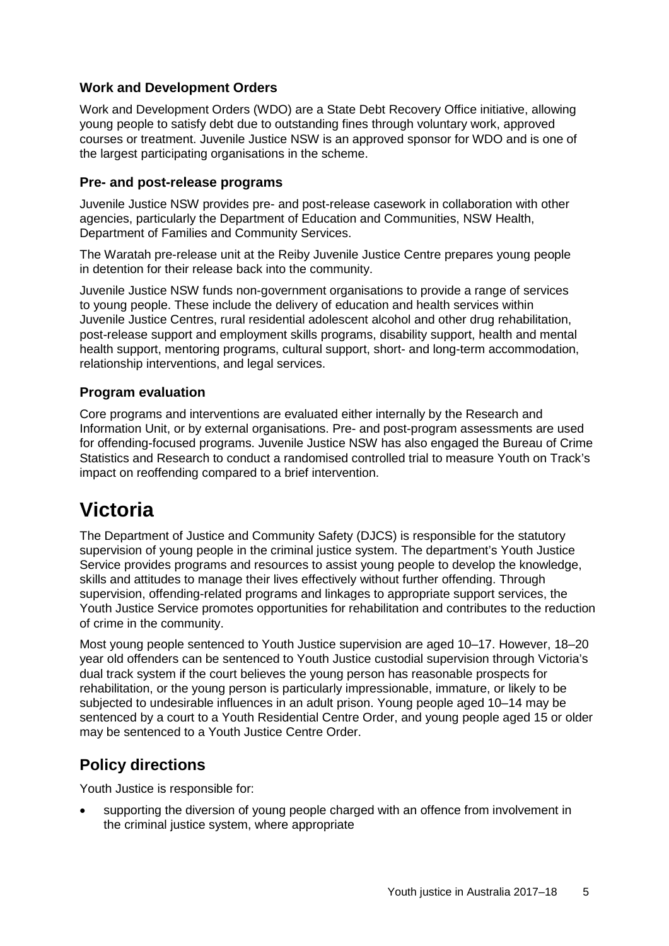## **Work and Development Orders**

Work and Development Orders (WDO) are a State Debt Recovery Office initiative, allowing young people to satisfy debt due to outstanding fines through voluntary work, approved courses or treatment. Juvenile Justice NSW is an approved sponsor for WDO and is one of the largest participating organisations in the scheme.

#### **Pre- and post-release programs**

Juvenile Justice NSW provides pre- and post-release casework in collaboration with other agencies, particularly the Department of Education and Communities, NSW Health, Department of Families and Community Services.

The Waratah pre-release unit at the Reiby Juvenile Justice Centre prepares young people in detention for their release back into the community.

Juvenile Justice NSW funds non-government organisations to provide a range of services to young people. These include the delivery of education and health services within Juvenile Justice Centres, rural residential adolescent alcohol and other drug rehabilitation, post-release support and employment skills programs, disability support, health and mental health support, mentoring programs, cultural support, short- and long-term accommodation, relationship interventions, and legal services.

#### **Program evaluation**

Core programs and interventions are evaluated either internally by the Research and Information Unit, or by external organisations. Pre- and post-program assessments are used for offending-focused programs. Juvenile Justice NSW has also engaged the Bureau of Crime Statistics and Research to conduct a randomised controlled trial to measure Youth on Track's impact on reoffending compared to a brief intervention.

# **Victoria**

The Department of Justice and Community Safety (DJCS) is responsible for the statutory supervision of young people in the criminal justice system. The department's Youth Justice Service provides programs and resources to assist young people to develop the knowledge, skills and attitudes to manage their lives effectively without further offending. Through supervision, offending-related programs and linkages to appropriate support services, the Youth Justice Service promotes opportunities for rehabilitation and contributes to the reduction of crime in the community.

Most young people sentenced to Youth Justice supervision are aged 10–17. However, 18–20 year old offenders can be sentenced to Youth Justice custodial supervision through Victoria's dual track system if the court believes the young person has reasonable prospects for rehabilitation, or the young person is particularly impressionable, immature, or likely to be subjected to undesirable influences in an adult prison. Young people aged 10–14 may be sentenced by a court to a Youth Residential Centre Order, and young people aged 15 or older may be sentenced to a Youth Justice Centre Order.

# **Policy directions**

Youth Justice is responsible for:

• supporting the diversion of young people charged with an offence from involvement in the criminal justice system, where appropriate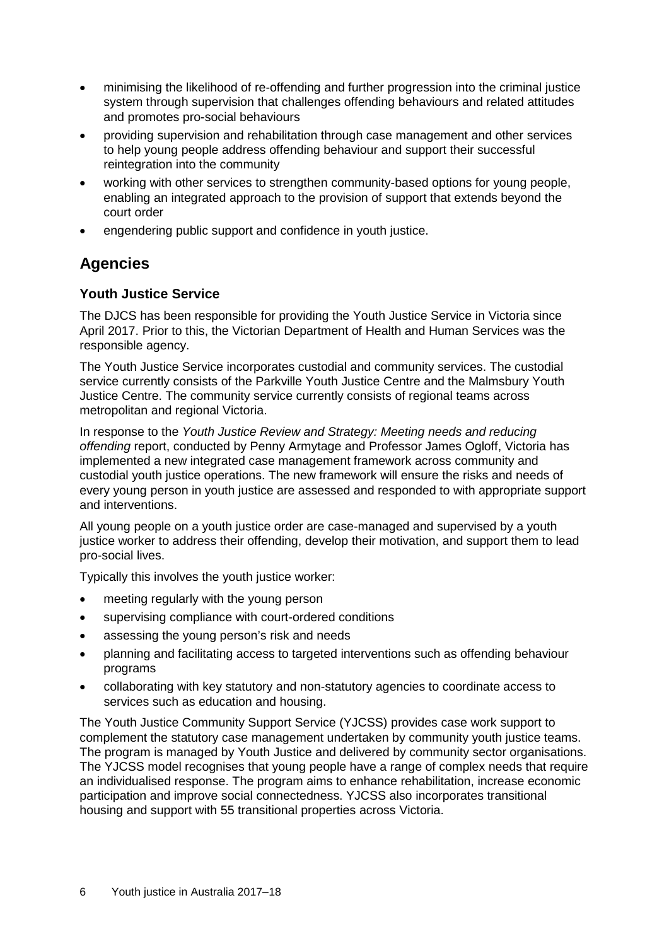- minimising the likelihood of re-offending and further progression into the criminal justice system through supervision that challenges offending behaviours and related attitudes and promotes pro-social behaviours
- providing supervision and rehabilitation through case management and other services to help young people address offending behaviour and support their successful reintegration into the community
- working with other services to strengthen community-based options for young people, enabling an integrated approach to the provision of support that extends beyond the court order
- engendering public support and confidence in youth justice.

# **Agencies**

# **Youth Justice Service**

The DJCS has been responsible for providing the Youth Justice Service in Victoria since April 2017. Prior to this, the Victorian Department of Health and Human Services was the responsible agency.

The Youth Justice Service incorporates custodial and community services. The custodial service currently consists of the Parkville Youth Justice Centre and the Malmsbury Youth Justice Centre. The community service currently consists of regional teams across metropolitan and regional Victoria.

In response to the *Youth Justice Review and Strategy: Meeting needs and reducing offending* report, conducted by Penny Armytage and Professor James Ogloff, Victoria has implemented a new integrated case management framework across community and custodial youth justice operations. The new framework will ensure the risks and needs of every young person in youth justice are assessed and responded to with appropriate support and interventions.

All young people on a youth justice order are case-managed and supervised by a youth justice worker to address their offending, develop their motivation, and support them to lead pro-social lives.

Typically this involves the youth justice worker:

- meeting regularly with the young person
- supervising compliance with court-ordered conditions
- assessing the young person's risk and needs
- planning and facilitating access to targeted interventions such as offending behaviour programs
- collaborating with key statutory and non-statutory agencies to coordinate access to services such as education and housing.

The Youth Justice Community Support Service (YJCSS) provides case work support to complement the statutory case management undertaken by community youth justice teams. The program is managed by Youth Justice and delivered by community sector organisations. The YJCSS model recognises that young people have a range of complex needs that require an individualised response. The program aims to enhance rehabilitation, increase economic participation and improve social connectedness. YJCSS also incorporates transitional housing and support with 55 transitional properties across Victoria.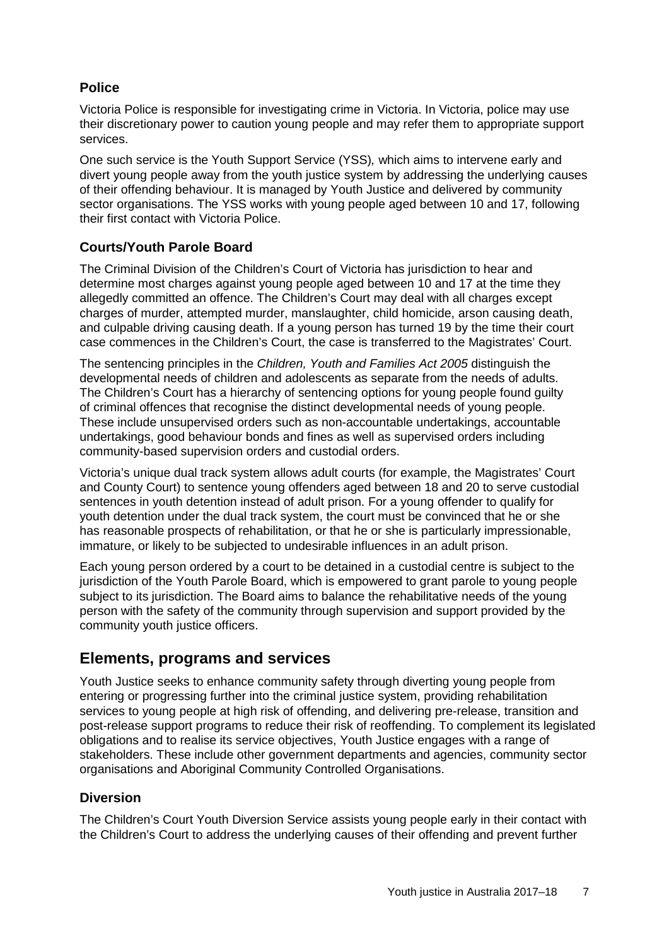# **Police**

Victoria Police is responsible for investigating crime in Victoria. In Victoria, police may use their discretionary power to caution young people and may refer them to appropriate support services.

One such service is the Youth Support Service (YSS)*,* which aims to intervene early and divert young people away from the youth justice system by addressing the underlying causes of their offending behaviour. It is managed by Youth Justice and delivered by community sector organisations. The YSS works with young people aged between 10 and 17, following their first contact with Victoria Police.

# **Courts/Youth Parole Board**

The Criminal Division of the Children's Court of Victoria has jurisdiction to hear and determine most charges against young people aged between 10 and 17 at the time they allegedly committed an offence. The Children's Court may deal with all charges except charges of murder, attempted murder, manslaughter, child homicide, arson causing death, and culpable driving causing death. If a young person has turned 19 by the time their court case commences in the Children's Court, the case is transferred to the Magistrates' Court.

The sentencing principles in the *Children, Youth and Families Act 2005* distinguish the developmental needs of children and adolescents as separate from the needs of adults. The Children's Court has a hierarchy of sentencing options for young people found guilty of criminal offences that recognise the distinct developmental needs of young people. These include unsupervised orders such as non-accountable undertakings, accountable undertakings, good behaviour bonds and fines as well as supervised orders including community-based supervision orders and custodial orders.

Victoria's unique dual track system allows adult courts (for example, the Magistrates' Court and County Court) to sentence young offenders aged between 18 and 20 to serve custodial sentences in youth detention instead of adult prison. For a young offender to qualify for youth detention under the dual track system, the court must be convinced that he or she has reasonable prospects of rehabilitation, or that he or she is particularly impressionable, immature, or likely to be subjected to undesirable influences in an adult prison.

Each young person ordered by a court to be detained in a custodial centre is subject to the jurisdiction of the Youth Parole Board, which is empowered to grant parole to young people subject to its jurisdiction. The Board aims to balance the rehabilitative needs of the young person with the safety of the community through supervision and support provided by the community youth justice officers.

# **Elements, programs and services**

Youth Justice seeks to enhance community safety through diverting young people from entering or progressing further into the criminal justice system, providing rehabilitation services to young people at high risk of offending, and delivering pre-release, transition and post-release support programs to reduce their risk of reoffending. To complement its legislated obligations and to realise its service objectives, Youth Justice engages with a range of stakeholders. These include other government departments and agencies, community sector organisations and Aboriginal Community Controlled Organisations.

# **Diversion**

The Children's Court Youth Diversion Service assists young people early in their contact with the Children's Court to address the underlying causes of their offending and prevent further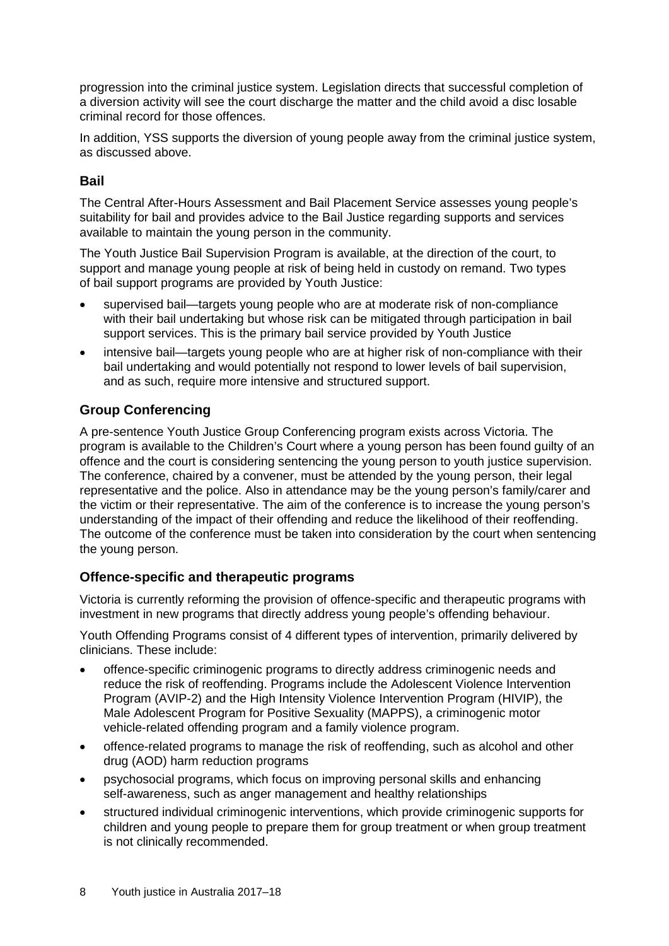progression into the criminal justice system. Legislation directs that successful completion of a diversion activity will see the court discharge the matter and the child avoid a disc losable criminal record for those offences.

In addition, YSS supports the diversion of young people away from the criminal justice system, as discussed above.

## **Bail**

The Central After-Hours Assessment and Bail Placement Service assesses young people's suitability for bail and provides advice to the Bail Justice regarding supports and services available to maintain the young person in the community.

The Youth Justice Bail Supervision Program is available, at the direction of the court, to support and manage young people at risk of being held in custody on remand. Two types of bail support programs are provided by Youth Justice:

- supervised bail—targets young people who are at moderate risk of non-compliance with their bail undertaking but whose risk can be mitigated through participation in bail support services. This is the primary bail service provided by Youth Justice
- intensive bail—targets young people who are at higher risk of non-compliance with their bail undertaking and would potentially not respond to lower levels of bail supervision, and as such, require more intensive and structured support.

# **Group Conferencing**

A pre-sentence Youth Justice Group Conferencing program exists across Victoria. The program is available to the Children's Court where a young person has been found guilty of an offence and the court is considering sentencing the young person to youth justice supervision. The conference, chaired by a convener, must be attended by the young person, their legal representative and the police. Also in attendance may be the young person's family/carer and the victim or their representative. The aim of the conference is to increase the young person's understanding of the impact of their offending and reduce the likelihood of their reoffending. The outcome of the conference must be taken into consideration by the court when sentencing the young person.

#### **Offence-specific and therapeutic programs**

Victoria is currently reforming the provision of offence-specific and therapeutic programs with investment in new programs that directly address young people's offending behaviour.

Youth Offending Programs consist of 4 different types of intervention, primarily delivered by clinicians. These include:

- offence-specific criminogenic programs to directly address criminogenic needs and reduce the risk of reoffending. Programs include the Adolescent Violence Intervention Program (AVIP-2) and the High Intensity Violence Intervention Program (HIVIP), the Male Adolescent Program for Positive Sexuality (MAPPS), a criminogenic motor vehicle-related offending program and a family violence program.
- offence-related programs to manage the risk of reoffending, such as alcohol and other drug (AOD) harm reduction programs
- psychosocial programs, which focus on improving personal skills and enhancing self-awareness, such as anger management and healthy relationships
- structured individual criminogenic interventions, which provide criminogenic supports for children and young people to prepare them for group treatment or when group treatment is not clinically recommended.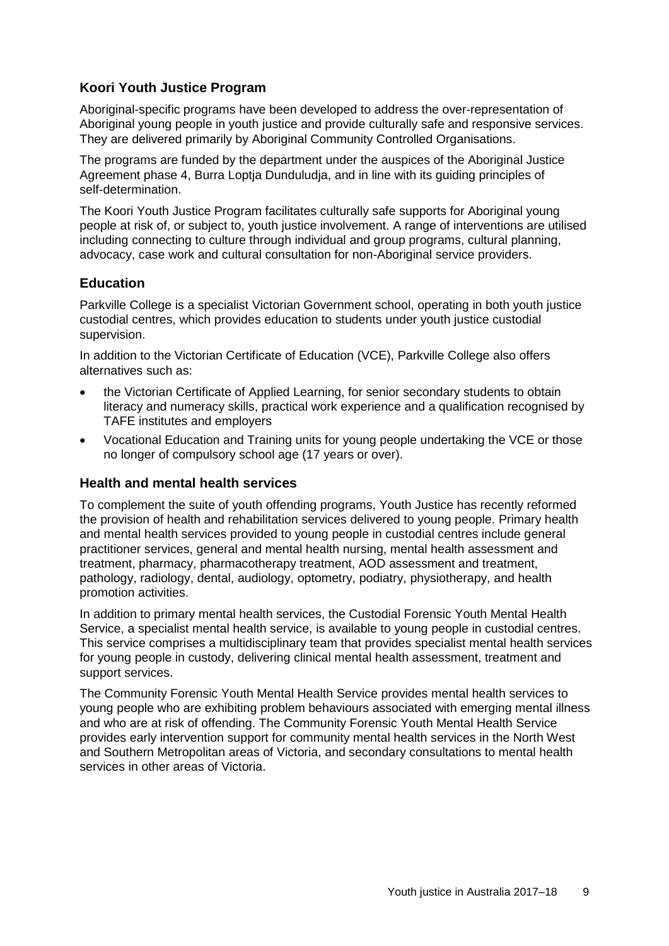## **Koori Youth Justice Program**

Aboriginal-specific programs have been developed to address the over-representation of Aboriginal young people in youth justice and provide culturally safe and responsive services. They are delivered primarily by Aboriginal Community Controlled Organisations.

The programs are funded by the department under the auspices of the Aboriginal Justice Agreement phase 4, Burra Loptja Dunduludja, and in line with its guiding principles of self-determination.

The Koori Youth Justice Program facilitates culturally safe supports for Aboriginal young people at risk of, or subject to, youth justice involvement. A range of interventions are utilised including connecting to culture through individual and group programs, cultural planning, advocacy, case work and cultural consultation for non-Aboriginal service providers.

## **Education**

Parkville College is a specialist Victorian Government school, operating in both youth justice custodial centres, which provides education to students under youth justice custodial supervision.

In addition to the Victorian Certificate of Education (VCE), Parkville College also offers alternatives such as:

- the Victorian Certificate of Applied Learning, for senior secondary students to obtain literacy and numeracy skills, practical work experience and a qualification recognised by TAFE institutes and employers
- Vocational Education and Training units for young people undertaking the VCE or those no longer of compulsory school age (17 years or over).

#### **Health and mental health services**

To complement the suite of youth offending programs, Youth Justice has recently reformed the provision of health and rehabilitation services delivered to young people. Primary health and mental health services provided to young people in custodial centres include general practitioner services, general and mental health nursing, mental health assessment and treatment, pharmacy, pharmacotherapy treatment, AOD assessment and treatment, pathology, radiology, dental, audiology, optometry, podiatry, physiotherapy, and health promotion activities.

In addition to primary mental health services, the Custodial Forensic Youth Mental Health Service, a specialist mental health service, is available to young people in custodial centres. This service comprises a multidisciplinary team that provides specialist mental health services for young people in custody, delivering clinical mental health assessment, treatment and support services.

The Community Forensic Youth Mental Health Service provides mental health services to young people who are exhibiting problem behaviours associated with emerging mental illness and who are at risk of offending. The Community Forensic Youth Mental Health Service provides early intervention support for community mental health services in the North West and Southern Metropolitan areas of Victoria, and secondary consultations to mental health services in other areas of Victoria.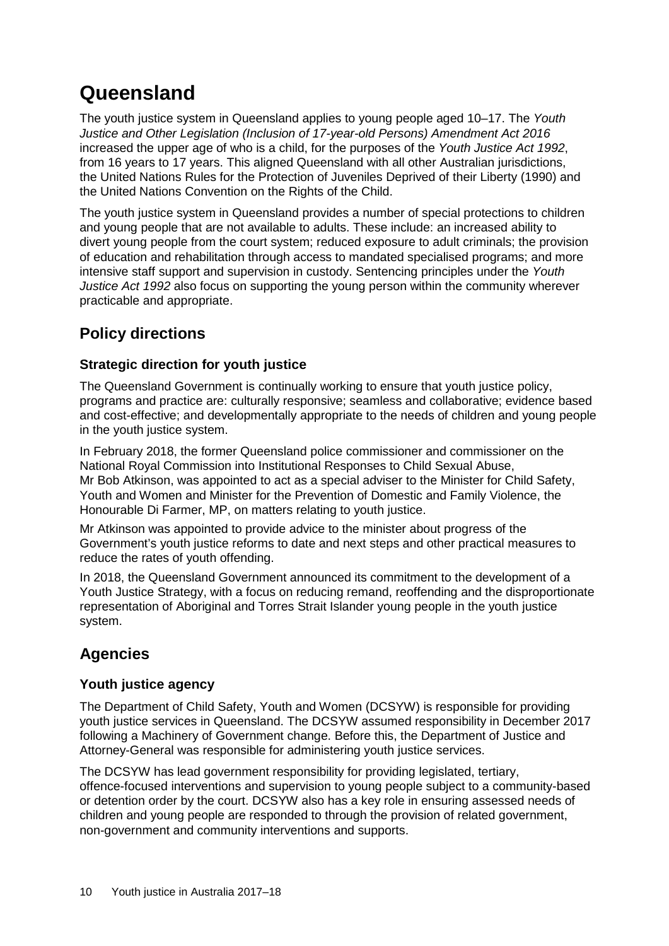# **Queensland**

The youth justice system in Queensland applies to young people aged 10–17. The *Youth Justice and Other Legislation (Inclusion of 17-year-old Persons) Amendment Act 2016* increased the upper age of who is a child, for the purposes of the *Youth Justice Act 1992*, from 16 years to 17 years. This aligned Queensland with all other Australian jurisdictions, the United Nations Rules for the Protection of Juveniles Deprived of their Liberty (1990) and the United Nations Convention on the Rights of the Child.

The youth justice system in Queensland provides a number of special protections to children and young people that are not available to adults. These include: an increased ability to divert young people from the court system; reduced exposure to adult criminals; the provision of education and rehabilitation through access to mandated specialised programs; and more intensive staff support and supervision in custody. Sentencing principles under the *Youth Justice Act 1992* also focus on supporting the young person within the community wherever practicable and appropriate.

# **Policy directions**

# **Strategic direction for youth justice**

The Queensland Government is continually working to ensure that youth justice policy, programs and practice are: culturally responsive; seamless and collaborative; evidence based and cost-effective; and developmentally appropriate to the needs of children and young people in the youth justice system.

In February 2018, the former Queensland police commissioner and commissioner on the National Royal Commission into Institutional Responses to Child Sexual Abuse, Mr Bob Atkinson, was appointed to act as a special adviser to the Minister for Child Safety, Youth and Women and Minister for the Prevention of Domestic and Family Violence, the Honourable Di Farmer, MP, on matters relating to youth justice.

Mr Atkinson was appointed to provide advice to the minister about progress of the Government's youth justice reforms to date and next steps and other practical measures to reduce the rates of youth offending.

In 2018, the Queensland Government announced its commitment to the development of a Youth Justice Strategy, with a focus on reducing remand, reoffending and the disproportionate representation of Aboriginal and Torres Strait Islander young people in the youth justice system.

# **Agencies**

# **Youth justice agency**

The Department of Child Safety, Youth and Women (DCSYW) is responsible for providing youth justice services in Queensland. The DCSYW assumed responsibility in December 2017 following a Machinery of Government change. Before this, the Department of Justice and Attorney-General was responsible for administering youth justice services.

The DCSYW has lead government responsibility for providing legislated, tertiary, offence-focused interventions and supervision to young people subject to a community-based or detention order by the court. DCSYW also has a key role in ensuring assessed needs of children and young people are responded to through the provision of related government, non-government and community interventions and supports.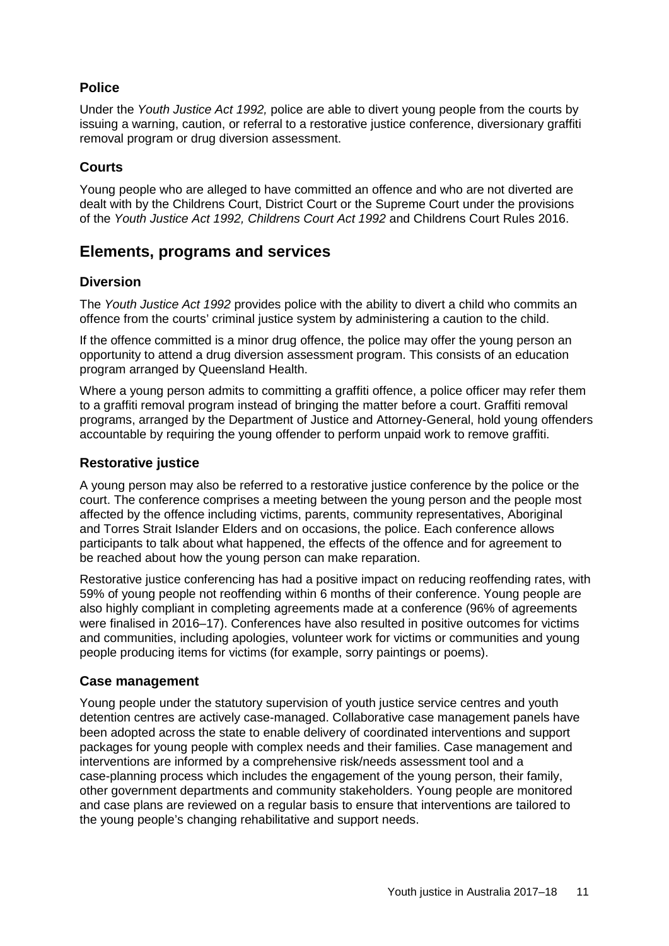# **Police**

Under the *Youth Justice Act 1992,* police are able to divert young people from the courts by issuing a warning, caution, or referral to a restorative justice conference, diversionary graffiti removal program or drug diversion assessment.

# **Courts**

Young people who are alleged to have committed an offence and who are not diverted are dealt with by the Childrens Court, District Court or the Supreme Court under the provisions of the *Youth Justice Act 1992, Childrens Court Act 1992* and Childrens Court Rules 2016.

# **Elements, programs and services**

## **Diversion**

The *Youth Justice Act 1992* provides police with the ability to divert a child who commits an offence from the courts' criminal justice system by administering a caution to the child.

If the offence committed is a minor drug offence, the police may offer the young person an opportunity to attend a drug diversion assessment program. This consists of an education program arranged by Queensland Health.

Where a young person admits to committing a graffiti offence, a police officer may refer them to a graffiti removal program instead of bringing the matter before a court. Graffiti removal programs, arranged by the Department of Justice and Attorney-General, hold young offenders accountable by requiring the young offender to perform unpaid work to remove graffiti.

## **Restorative justice**

A young person may also be referred to a restorative justice conference by the police or the court. The conference comprises a meeting between the young person and the people most affected by the offence including victims, parents, community representatives, Aboriginal and Torres Strait Islander Elders and on occasions, the police. Each conference allows participants to talk about what happened, the effects of the offence and for agreement to be reached about how the young person can make reparation.

Restorative justice conferencing has had a positive impact on reducing reoffending rates, with 59% of young people not reoffending within 6 months of their conference. Young people are also highly compliant in completing agreements made at a conference (96% of agreements were finalised in 2016–17). Conferences have also resulted in positive outcomes for victims and communities, including apologies, volunteer work for victims or communities and young people producing items for victims (for example, sorry paintings or poems).

#### **Case management**

Young people under the statutory supervision of youth justice service centres and youth detention centres are actively case-managed. Collaborative case management panels have been adopted across the state to enable delivery of coordinated interventions and support packages for young people with complex needs and their families. Case management and interventions are informed by a comprehensive risk/needs assessment tool and a case-planning process which includes the engagement of the young person, their family, other government departments and community stakeholders. Young people are monitored and case plans are reviewed on a regular basis to ensure that interventions are tailored to the young people's changing rehabilitative and support needs.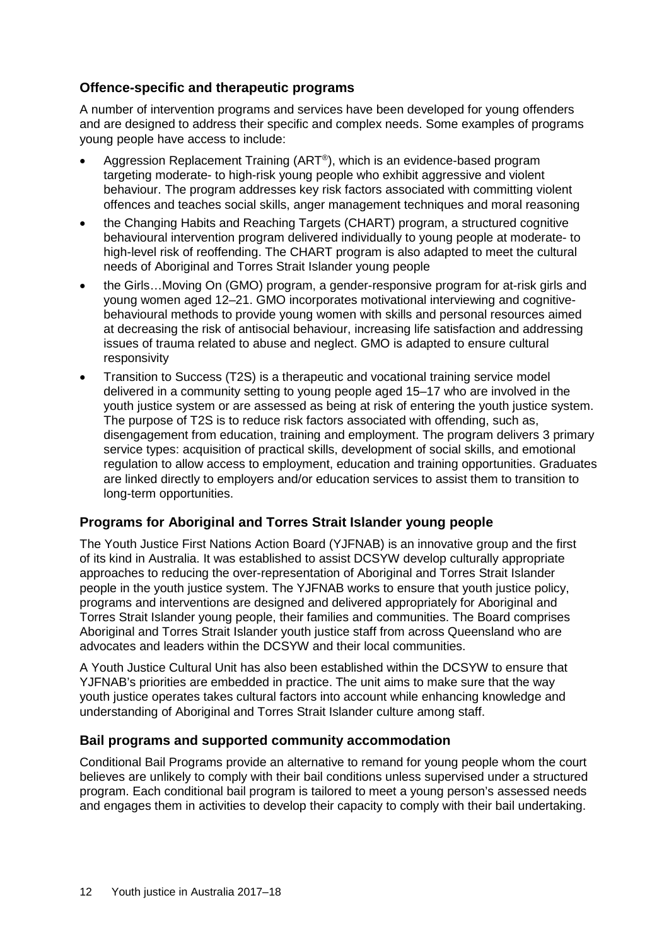## **Offence-specific and therapeutic programs**

A number of intervention programs and services have been developed for young offenders and are designed to address their specific and complex needs. Some examples of programs young people have access to include:

- Aggression Replacement Training (ART®), which is an evidence-based program targeting moderate- to high-risk young people who exhibit aggressive and violent behaviour. The program addresses key risk factors associated with committing violent offences and teaches social skills, anger management techniques and moral reasoning
- the Changing Habits and Reaching Targets (CHART) program, a structured cognitive behavioural intervention program delivered individually to young people at moderate- to high-level risk of reoffending. The CHART program is also adapted to meet the cultural needs of Aboriginal and Torres Strait Islander young people
- the Girls... Moving On (GMO) program, a gender-responsive program for at-risk girls and young women aged 12–21. GMO incorporates motivational interviewing and cognitivebehavioural methods to provide young women with skills and personal resources aimed at decreasing the risk of antisocial behaviour, increasing life satisfaction and addressing issues of trauma related to abuse and neglect. GMO is adapted to ensure cultural responsivity
- Transition to Success (T2S) is a therapeutic and vocational training service model delivered in a community setting to young people aged 15–17 who are involved in the youth justice system or are assessed as being at risk of entering the youth justice system. The purpose of T2S is to reduce risk factors associated with offending, such as, disengagement from education, training and employment. The program delivers 3 primary service types: acquisition of practical skills, development of social skills, and emotional regulation to allow access to employment, education and training opportunities. Graduates are linked directly to employers and/or education services to assist them to transition to long-term opportunities.

# **Programs for Aboriginal and Torres Strait Islander young people**

The Youth Justice First Nations Action Board (YJFNAB) is an innovative group and the first of its kind in Australia. It was established to assist DCSYW develop culturally appropriate approaches to reducing the over-representation of Aboriginal and Torres Strait Islander people in the youth justice system. The YJFNAB works to ensure that youth justice policy, programs and interventions are designed and delivered appropriately for Aboriginal and Torres Strait Islander young people, their families and communities. The Board comprises Aboriginal and Torres Strait Islander youth justice staff from across Queensland who are advocates and leaders within the DCSYW and their local communities.

A Youth Justice Cultural Unit has also been established within the DCSYW to ensure that YJFNAB's priorities are embedded in practice. The unit aims to make sure that the way youth justice operates takes cultural factors into account while enhancing knowledge and understanding of Aboriginal and Torres Strait Islander culture among staff.

#### **Bail programs and supported community accommodation**

Conditional Bail Programs provide an alternative to remand for young people whom the court believes are unlikely to comply with their bail conditions unless supervised under a structured program. Each conditional bail program is tailored to meet a young person's assessed needs and engages them in activities to develop their capacity to comply with their bail undertaking.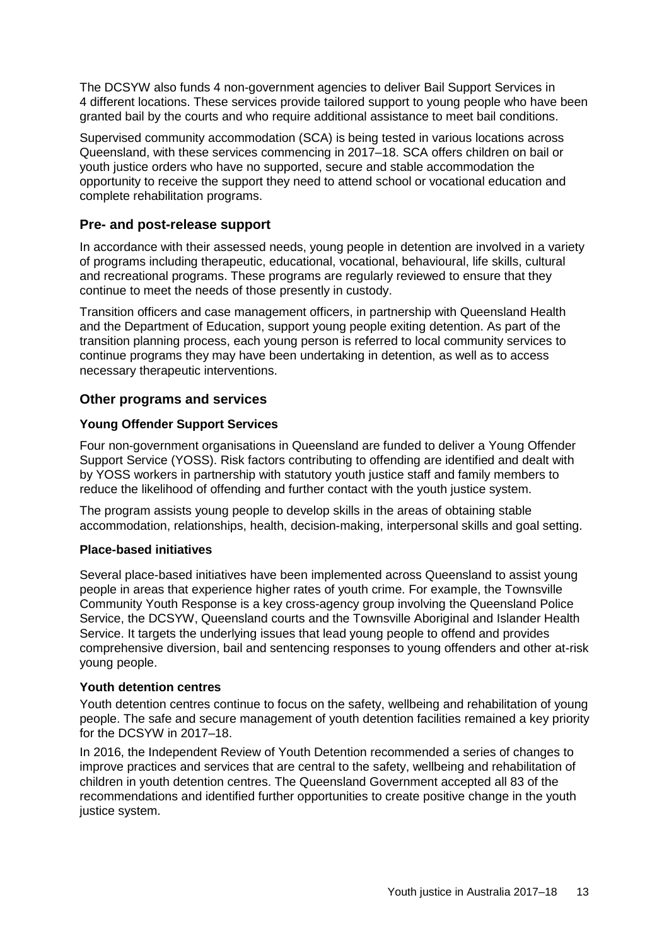The DCSYW also funds 4 non-government agencies to deliver Bail Support Services in 4 different locations. These services provide tailored support to young people who have been granted bail by the courts and who require additional assistance to meet bail conditions.

Supervised community accommodation (SCA) is being tested in various locations across Queensland, with these services commencing in 2017–18. SCA offers children on bail or youth justice orders who have no supported, secure and stable accommodation the opportunity to receive the support they need to attend school or vocational education and complete rehabilitation programs.

## **Pre- and post-release support**

In accordance with their assessed needs, young people in detention are involved in a variety of programs including therapeutic, educational, vocational, behavioural, life skills, cultural and recreational programs. These programs are regularly reviewed to ensure that they continue to meet the needs of those presently in custody.

Transition officers and case management officers, in partnership with Queensland Health and the Department of Education, support young people exiting detention. As part of the transition planning process, each young person is referred to local community services to continue programs they may have been undertaking in detention, as well as to access necessary therapeutic interventions.

#### **Other programs and services**

#### **Young Offender Support Services**

Four non-government organisations in Queensland are funded to deliver a Young Offender Support Service (YOSS). Risk factors contributing to offending are identified and dealt with by YOSS workers in partnership with statutory youth justice staff and family members to reduce the likelihood of offending and further contact with the youth justice system.

The program assists young people to develop skills in the areas of obtaining stable accommodation, relationships, health, decision-making, interpersonal skills and goal setting.

#### **Place-based initiatives**

Several place-based initiatives have been implemented across Queensland to assist young people in areas that experience higher rates of youth crime. For example, the Townsville Community Youth Response is a key cross-agency group involving the Queensland Police Service, the DCSYW, Queensland courts and the Townsville Aboriginal and Islander Health Service. It targets the underlying issues that lead young people to offend and provides comprehensive diversion, bail and sentencing responses to young offenders and other at-risk young people.

#### **Youth detention centres**

Youth detention centres continue to focus on the safety, wellbeing and rehabilitation of young people. The safe and secure management of youth detention facilities remained a key priority for the DCSYW in 2017–18.

In 2016, the Independent Review of Youth Detention recommended a series of changes to improve practices and services that are central to the safety, wellbeing and rehabilitation of children in youth detention centres. The Queensland Government accepted all 83 of the recommendations and identified further opportunities to create positive change in the youth justice system.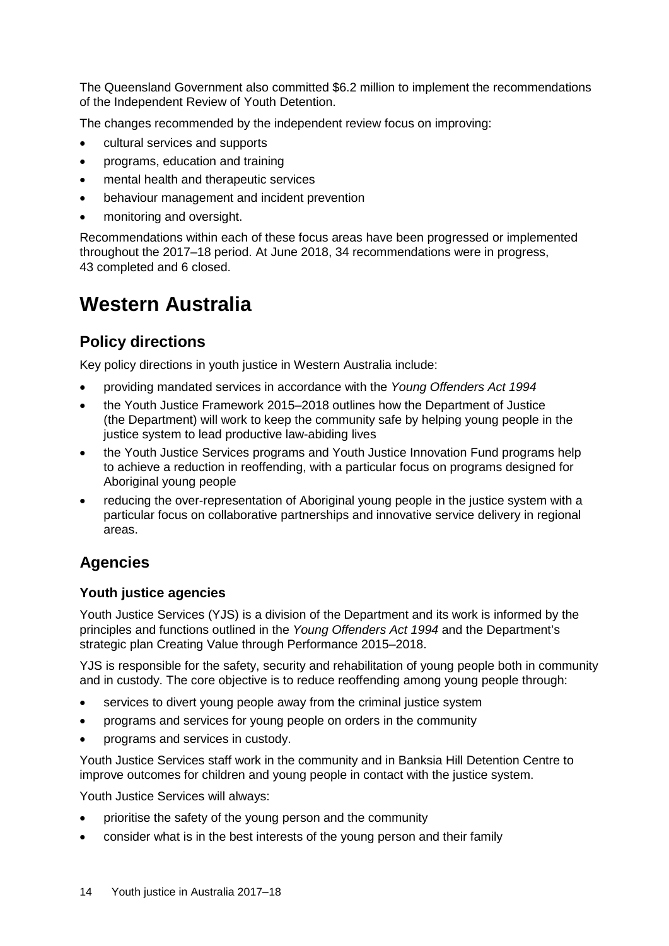The Queensland Government also committed \$6.2 million to implement the recommendations of the Independent Review of Youth Detention.

The changes recommended by the independent review focus on improving:

- cultural services and supports
- programs, education and training
- mental health and therapeutic services
- behaviour management and incident prevention
- monitoring and oversight.

Recommendations within each of these focus areas have been progressed or implemented throughout the 2017–18 period. At June 2018, 34 recommendations were in progress, 43 completed and 6 closed.

# **Western Australia**

# **Policy directions**

Key policy directions in youth justice in Western Australia include:

- providing mandated services in accordance with the *Young Offenders Act 1994*
- the Youth Justice Framework 2015–2018 outlines how the Department of Justice (the Department) will work to keep the community safe by helping young people in the justice system to lead productive law-abiding lives
- the Youth Justice Services programs and Youth Justice Innovation Fund programs help to achieve a reduction in reoffending, with a particular focus on programs designed for Aboriginal young people
- reducing the over-representation of Aboriginal young people in the justice system with a particular focus on collaborative partnerships and innovative service delivery in regional areas.

# **Agencies**

# **Youth justice agencies**

Youth Justice Services (YJS) is a division of the Department and its work is informed by the principles and functions outlined in the *Young Offenders Act 1994* and the Department's strategic plan Creating Value through Performance 2015–2018.

YJS is responsible for the safety, security and rehabilitation of young people both in community and in custody. The core objective is to reduce reoffending among young people through:

- services to divert young people away from the criminal justice system
- programs and services for young people on orders in the community
- programs and services in custody.

Youth Justice Services staff work in the community and in Banksia Hill Detention Centre to improve outcomes for children and young people in contact with the justice system.

Youth Justice Services will always:

- prioritise the safety of the young person and the community
- consider what is in the best interests of the young person and their family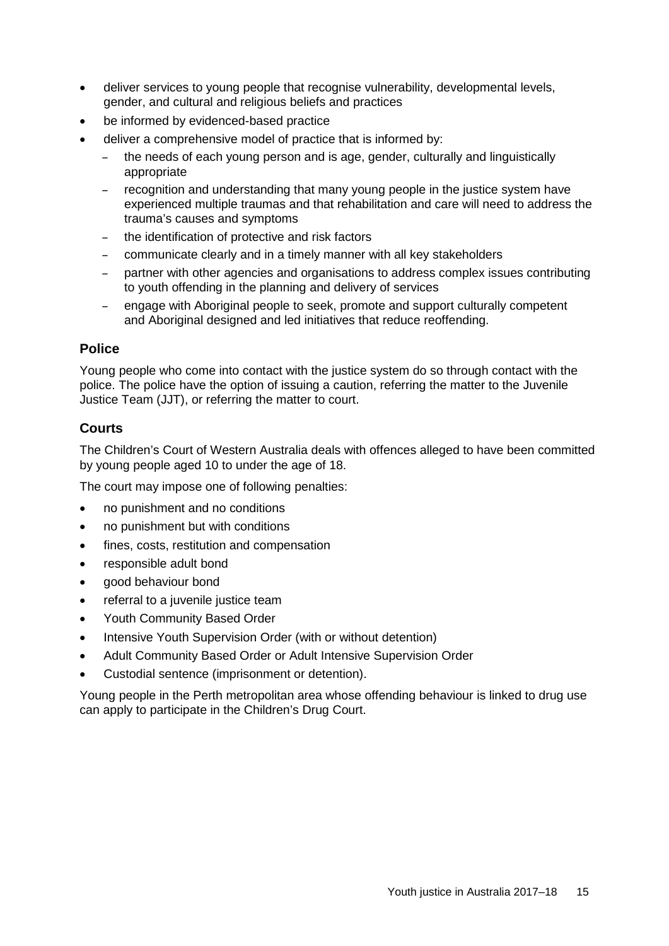- deliver services to young people that recognise vulnerability, developmental levels, gender, and cultural and religious beliefs and practices
- be informed by evidenced-based practice
- deliver a comprehensive model of practice that is informed by:
	- the needs of each young person and is age, gender, culturally and linguistically appropriate
	- recognition and understanding that many young people in the justice system have experienced multiple traumas and that rehabilitation and care will need to address the trauma's causes and symptoms
	- the identification of protective and risk factors
	- communicate clearly and in a timely manner with all key stakeholders
	- partner with other agencies and organisations to address complex issues contributing to youth offending in the planning and delivery of services
	- engage with Aboriginal people to seek, promote and support culturally competent and Aboriginal designed and led initiatives that reduce reoffending.

#### **Police**

Young people who come into contact with the justice system do so through contact with the police. The police have the option of issuing a caution, referring the matter to the Juvenile Justice Team (JJT), or referring the matter to court.

## **Courts**

The Children's Court of Western Australia deals with offences alleged to have been committed by young people aged 10 to under the age of 18.

The court may impose one of following penalties:

- no punishment and no conditions
- no punishment but with conditions
- fines, costs, restitution and compensation
- responsible adult bond
- good behaviour bond
- referral to a juvenile justice team
- Youth Community Based Order
- Intensive Youth Supervision Order (with or without detention)
- Adult Community Based Order or Adult Intensive Supervision Order
- Custodial sentence (imprisonment or detention).

Young people in the Perth metropolitan area whose offending behaviour is linked to drug use can apply to participate in the Children's Drug Court.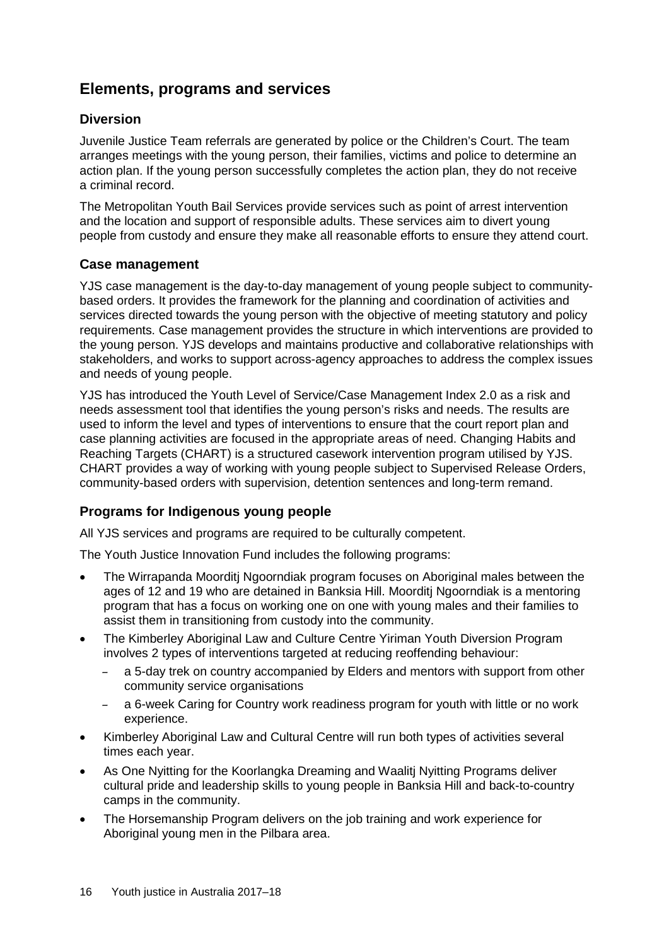# **Elements, programs and services**

### **Diversion**

Juvenile Justice Team referrals are generated by police or the Children's Court. The team arranges meetings with the young person, their families, victims and police to determine an action plan. If the young person successfully completes the action plan, they do not receive a criminal record.

The Metropolitan Youth Bail Services provide services such as point of arrest intervention and the location and support of responsible adults. These services aim to divert young people from custody and ensure they make all reasonable efforts to ensure they attend court.

#### **Case management**

YJS case management is the day-to-day management of young people subject to communitybased orders. It provides the framework for the planning and coordination of activities and services directed towards the young person with the objective of meeting statutory and policy requirements. Case management provides the structure in which interventions are provided to the young person. YJS develops and maintains productive and collaborative relationships with stakeholders, and works to support across-agency approaches to address the complex issues and needs of young people.

YJS has introduced the Youth Level of Service/Case Management Index 2.0 as a risk and needs assessment tool that identifies the young person's risks and needs. The results are used to inform the level and types of interventions to ensure that the court report plan and case planning activities are focused in the appropriate areas of need. Changing Habits and Reaching Targets (CHART) is a structured casework intervention program utilised by YJS. CHART provides a way of working with young people subject to Supervised Release Orders, community-based orders with supervision, detention sentences and long-term remand.

# **Programs for Indigenous young people**

All YJS services and programs are required to be culturally competent.

The Youth Justice Innovation Fund includes the following programs:

- The Wirrapanda Moorditj Ngoorndiak program focuses on Aboriginal males between the ages of 12 and 19 who are detained in Banksia Hill. Moorditj Ngoorndiak is a mentoring program that has a focus on working one on one with young males and their families to assist them in transitioning from custody into the community.
- The Kimberley Aboriginal Law and Culture Centre Yiriman Youth Diversion Program involves 2 types of interventions targeted at reducing reoffending behaviour:
	- a 5-day trek on country accompanied by Elders and mentors with support from other community service organisations
	- a 6-week Caring for Country work readiness program for youth with little or no work experience.
- Kimberley Aboriginal Law and Cultural Centre will run both types of activities several times each year.
- As One Nyitting for the Koorlangka Dreaming and Waalitj Nyitting Programs deliver cultural pride and leadership skills to young people in Banksia Hill and back-to-country camps in the community.
- The Horsemanship Program delivers on the job training and work experience for Aboriginal young men in the Pilbara area.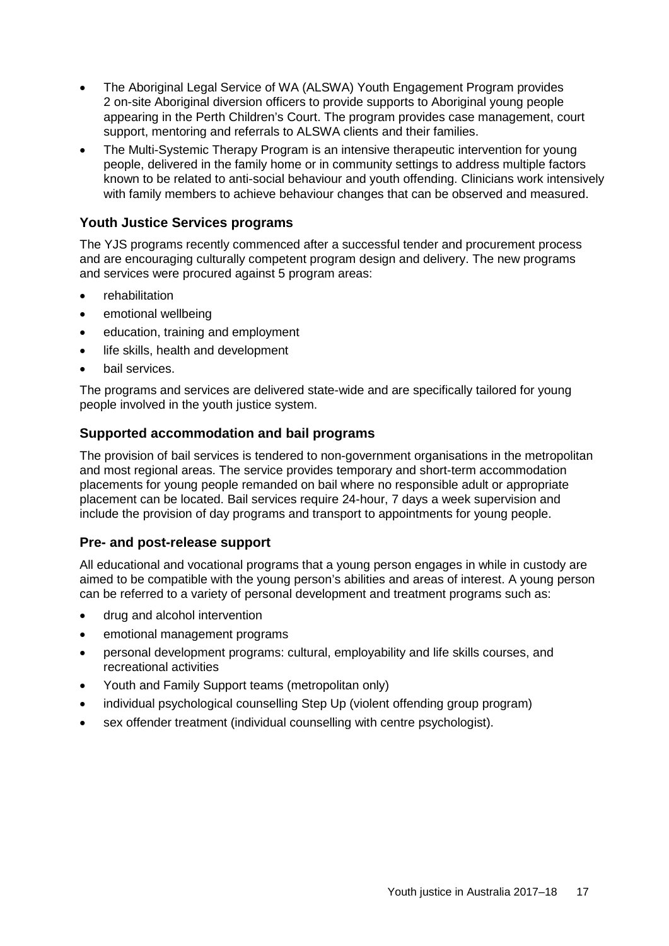- The Aboriginal Legal Service of WA (ALSWA) Youth Engagement Program provides 2 on-site Aboriginal diversion officers to provide supports to Aboriginal young people appearing in the Perth Children's Court. The program provides case management, court support, mentoring and referrals to ALSWA clients and their families.
- The Multi-Systemic Therapy Program is an intensive therapeutic intervention for young people, delivered in the family home or in community settings to address multiple factors known to be related to anti-social behaviour and youth offending. Clinicians work intensively with family members to achieve behaviour changes that can be observed and measured.

## **Youth Justice Services programs**

The YJS programs recently commenced after a successful tender and procurement process and are encouraging culturally competent program design and delivery. The new programs and services were procured against 5 program areas:

- **rehabilitation**
- emotional wellbeing
- education, training and employment
- life skills, health and development
- bail services.

The programs and services are delivered state-wide and are specifically tailored for young people involved in the youth justice system.

#### **Supported accommodation and bail programs**

The provision of bail services is tendered to non-government organisations in the metropolitan and most regional areas. The service provides temporary and short-term accommodation placements for young people remanded on bail where no responsible adult or appropriate placement can be located. Bail services require 24-hour, 7 days a week supervision and include the provision of day programs and transport to appointments for young people.

#### **Pre- and post-release support**

All educational and vocational programs that a young person engages in while in custody are aimed to be compatible with the young person's abilities and areas of interest. A young person can be referred to a variety of personal development and treatment programs such as:

- drug and alcohol intervention
- emotional management programs
- personal development programs: cultural, employability and life skills courses, and recreational activities
- Youth and Family Support teams (metropolitan only)
- individual psychological counselling Step Up (violent offending group program)
- sex offender treatment (individual counselling with centre psychologist).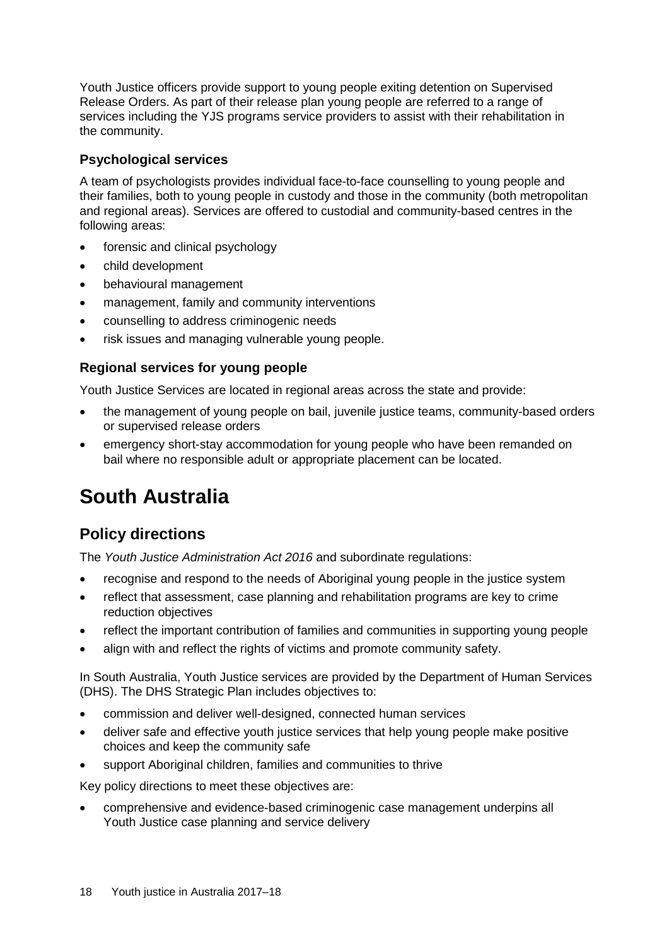Youth Justice officers provide support to young people exiting detention on Supervised Release Orders. As part of their release plan young people are referred to a range of services including the YJS programs service providers to assist with their rehabilitation in the community.

#### **Psychological services**

A team of psychologists provides individual face-to-face counselling to young people and their families, both to young people in custody and those in the community (both metropolitan and regional areas). Services are offered to custodial and community-based centres in the following areas:

- forensic and clinical psychology
- child development
- behavioural management
- management, family and community interventions
- counselling to address criminogenic needs
- risk issues and managing vulnerable young people.

# **Regional services for young people**

Youth Justice Services are located in regional areas across the state and provide:

- the management of young people on bail, juvenile justice teams, community-based orders or supervised release orders
- emergency short-stay accommodation for young people who have been remanded on bail where no responsible adult or appropriate placement can be located.

# **South Australia**

# **Policy directions**

The *Youth Justice Administration Act 2016* and subordinate regulations:

- recognise and respond to the needs of Aboriginal young people in the justice system
- reflect that assessment, case planning and rehabilitation programs are key to crime reduction objectives
- reflect the important contribution of families and communities in supporting young people
- align with and reflect the rights of victims and promote community safety.

In South Australia, Youth Justice services are provided by the Department of Human Services (DHS). The DHS Strategic Plan includes objectives to:

- commission and deliver well-designed, connected human services
- deliver safe and effective youth justice services that help young people make positive choices and keep the community safe
- support Aboriginal children, families and communities to thrive

Key policy directions to meet these objectives are:

• comprehensive and evidence-based criminogenic case management underpins all Youth Justice case planning and service delivery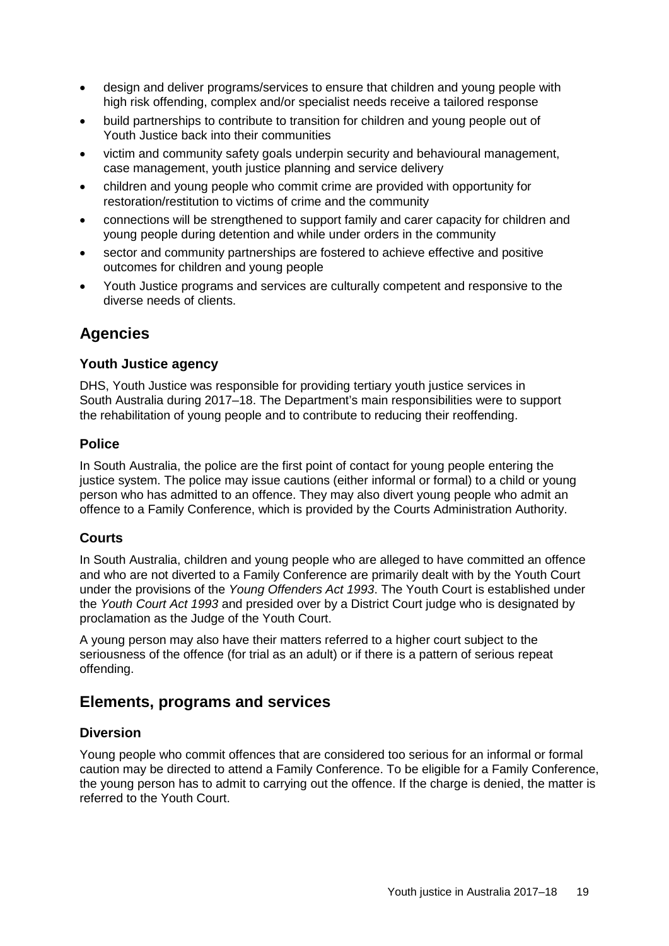- design and deliver programs/services to ensure that children and young people with high risk offending, complex and/or specialist needs receive a tailored response
- build partnerships to contribute to transition for children and young people out of Youth Justice back into their communities
- victim and community safety goals underpin security and behavioural management, case management, youth justice planning and service delivery
- children and young people who commit crime are provided with opportunity for restoration/restitution to victims of crime and the community
- connections will be strengthened to support family and carer capacity for children and young people during detention and while under orders in the community
- sector and community partnerships are fostered to achieve effective and positive outcomes for children and young people
- Youth Justice programs and services are culturally competent and responsive to the diverse needs of clients.

# **Agencies**

## **Youth Justice agency**

DHS, Youth Justice was responsible for providing tertiary youth justice services in South Australia during 2017–18. The Department's main responsibilities were to support the rehabilitation of young people and to contribute to reducing their reoffending.

# **Police**

In South Australia, the police are the first point of contact for young people entering the justice system. The police may issue cautions (either informal or formal) to a child or young person who has admitted to an offence. They may also divert young people who admit an offence to a Family Conference, which is provided by the Courts Administration Authority.

# **Courts**

In South Australia, children and young people who are alleged to have committed an offence and who are not diverted to a Family Conference are primarily dealt with by the Youth Court under the provisions of the *Young Offenders Act 1993*. The Youth Court is established under the *Youth Court Act 1993* and presided over by a District Court judge who is designated by proclamation as the Judge of the Youth Court.

A young person may also have their matters referred to a higher court subject to the seriousness of the offence (for trial as an adult) or if there is a pattern of serious repeat offending.

# **Elements, programs and services**

# **Diversion**

Young people who commit offences that are considered too serious for an informal or formal caution may be directed to attend a Family Conference. To be eligible for a Family Conference, the young person has to admit to carrying out the offence. If the charge is denied, the matter is referred to the Youth Court.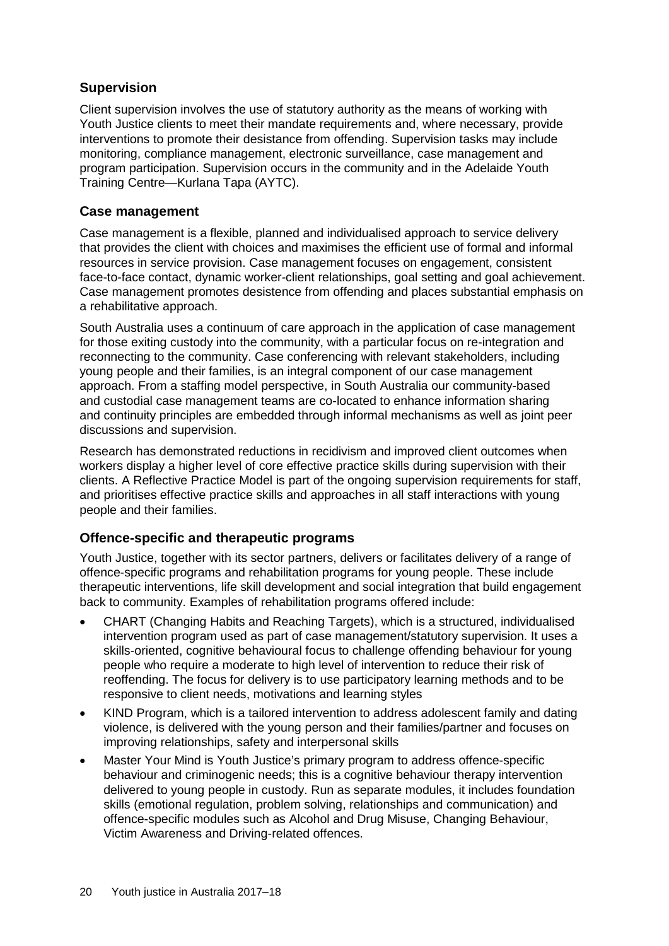## **Supervision**

Client supervision involves the use of statutory authority as the means of working with Youth Justice clients to meet their mandate requirements and, where necessary, provide interventions to promote their desistance from offending. Supervision tasks may include monitoring, compliance management, electronic surveillance, case management and program participation. Supervision occurs in the community and in the Adelaide Youth Training Centre—Kurlana Tapa (AYTC).

#### **Case management**

Case management is a flexible, planned and individualised approach to service delivery that provides the client with choices and maximises the efficient use of formal and informal resources in service provision. Case management focuses on engagement, consistent face-to-face contact, dynamic worker-client relationships, goal setting and goal achievement. Case management promotes desistence from offending and places substantial emphasis on a rehabilitative approach.

South Australia uses a continuum of care approach in the application of case management for those exiting custody into the community, with a particular focus on re-integration and reconnecting to the community. Case conferencing with relevant stakeholders, including young people and their families, is an integral component of our case management approach. From a staffing model perspective, in South Australia our community-based and custodial case management teams are co-located to enhance information sharing and continuity principles are embedded through informal mechanisms as well as joint peer discussions and supervision.

Research has demonstrated reductions in recidivism and improved client outcomes when workers display a higher level of core effective practice skills during supervision with their clients. A Reflective Practice Model is part of the ongoing supervision requirements for staff, and prioritises effective practice skills and approaches in all staff interactions with young people and their families.

#### **Offence-specific and therapeutic programs**

Youth Justice, together with its sector partners, delivers or facilitates delivery of a range of offence-specific programs and rehabilitation programs for young people. These include therapeutic interventions, life skill development and social integration that build engagement back to community. Examples of rehabilitation programs offered include:

- CHART (Changing Habits and Reaching Targets), which is a structured, individualised intervention program used as part of case management/statutory supervision. It uses a skills-oriented, cognitive behavioural focus to challenge offending behaviour for young people who require a moderate to high level of intervention to reduce their risk of reoffending. The focus for delivery is to use participatory learning methods and to be responsive to client needs, motivations and learning styles
- KIND Program, which is a tailored intervention to address adolescent family and dating violence, is delivered with the young person and their families/partner and focuses on improving relationships, safety and interpersonal skills
- Master Your Mind is Youth Justice's primary program to address offence-specific behaviour and criminogenic needs; this is a cognitive behaviour therapy intervention delivered to young people in custody. Run as separate modules, it includes foundation skills (emotional regulation, problem solving, relationships and communication) and offence-specific modules such as Alcohol and Drug Misuse, Changing Behaviour, Victim Awareness and Driving-related offences.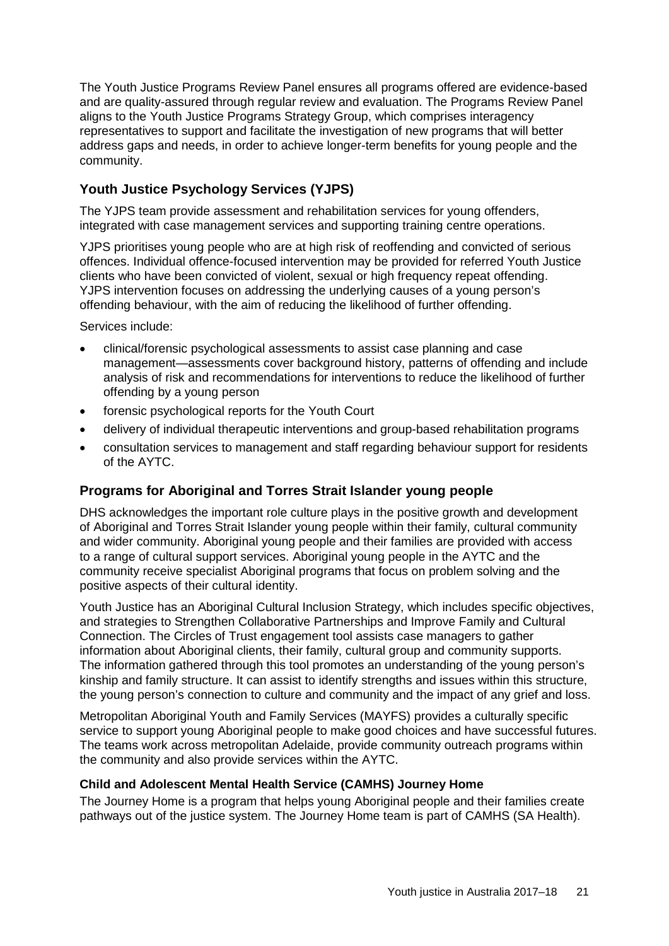The Youth Justice Programs Review Panel ensures all programs offered are evidence-based and are quality-assured through regular review and evaluation. The Programs Review Panel aligns to the Youth Justice Programs Strategy Group, which comprises interagency representatives to support and facilitate the investigation of new programs that will better address gaps and needs, in order to achieve longer-term benefits for young people and the community.

# **Youth Justice Psychology Services (YJPS)**

The YJPS team provide assessment and rehabilitation services for young offenders, integrated with case management services and supporting training centre operations.

YJPS prioritises young people who are at high risk of reoffending and convicted of serious offences. Individual offence-focused intervention may be provided for referred Youth Justice clients who have been convicted of violent, sexual or high frequency repeat offending. YJPS intervention focuses on addressing the underlying causes of a young person's offending behaviour, with the aim of reducing the likelihood of further offending.

Services include:

- clinical/forensic psychological assessments to assist case planning and case management—assessments cover background history, patterns of offending and include analysis of risk and recommendations for interventions to reduce the likelihood of further offending by a young person
- forensic psychological reports for the Youth Court
- delivery of individual therapeutic interventions and group-based rehabilitation programs
- consultation services to management and staff regarding behaviour support for residents of the AYTC.

#### **Programs for Aboriginal and Torres Strait Islander young people**

DHS acknowledges the important role culture plays in the positive growth and development of Aboriginal and Torres Strait Islander young people within their family, cultural community and wider community. Aboriginal young people and their families are provided with access to a range of cultural support services. Aboriginal young people in the AYTC and the community receive specialist Aboriginal programs that focus on problem solving and the positive aspects of their cultural identity.

Youth Justice has an Aboriginal Cultural Inclusion Strategy, which includes specific objectives, and strategies to Strengthen Collaborative Partnerships and Improve Family and Cultural Connection. The Circles of Trust engagement tool assists case managers to gather information about Aboriginal clients, their family, cultural group and community supports. The information gathered through this tool promotes an understanding of the young person's kinship and family structure. It can assist to identify strengths and issues within this structure, the young person's connection to culture and community and the impact of any grief and loss.

Metropolitan Aboriginal Youth and Family Services (MAYFS) provides a culturally specific service to support young Aboriginal people to make good choices and have successful futures. The teams work across metropolitan Adelaide, provide community outreach programs within the community and also provide services within the AYTC.

#### **Child and Adolescent Mental Health Service (CAMHS) Journey Home**

The Journey Home is a program that helps young Aboriginal people and their families create pathways out of the justice system. The Journey Home team is part of CAMHS (SA Health).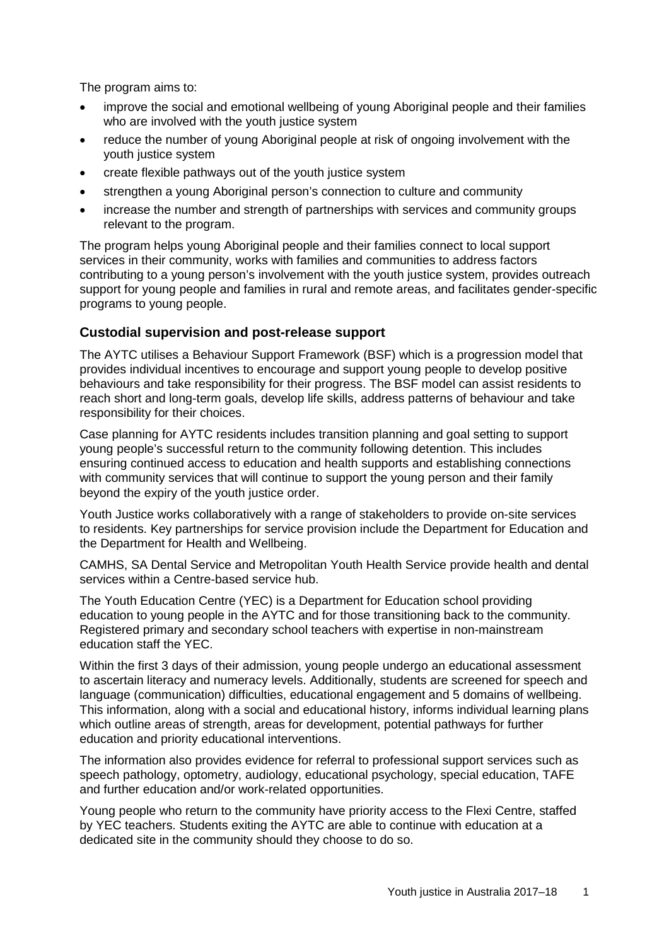The program aims to:

- improve the social and emotional wellbeing of young Aboriginal people and their families who are involved with the youth justice system
- reduce the number of young Aboriginal people at risk of ongoing involvement with the youth justice system
- create flexible pathways out of the youth justice system
- strengthen a young Aboriginal person's connection to culture and community
- increase the number and strength of partnerships with services and community groups relevant to the program.

The program helps young Aboriginal people and their families connect to local support services in their community, works with families and communities to address factors contributing to a young person's involvement with the youth justice system, provides outreach support for young people and families in rural and remote areas, and facilitates gender-specific programs to young people.

## **Custodial supervision and post-release support**

The AYTC utilises a Behaviour Support Framework (BSF) which is a progression model that provides individual incentives to encourage and support young people to develop positive behaviours and take responsibility for their progress. The BSF model can assist residents to reach short and long-term goals, develop life skills, address patterns of behaviour and take responsibility for their choices.

Case planning for AYTC residents includes transition planning and goal setting to support young people's successful return to the community following detention. This includes ensuring continued access to education and health supports and establishing connections with community services that will continue to support the young person and their family beyond the expiry of the youth justice order.

Youth Justice works collaboratively with a range of stakeholders to provide on-site services to residents. Key partnerships for service provision include the Department for Education and the Department for Health and Wellbeing.

CAMHS, SA Dental Service and Metropolitan Youth Health Service provide health and dental services within a Centre-based service hub.

The Youth Education Centre (YEC) is a Department for Education school providing education to young people in the AYTC and for those transitioning back to the community. Registered primary and secondary school teachers with expertise in non-mainstream education staff the YEC.

Within the first 3 days of their admission, young people undergo an educational assessment to ascertain literacy and numeracy levels. Additionally, students are screened for speech and language (communication) difficulties, educational engagement and 5 domains of wellbeing. This information, along with a social and educational history, informs individual learning plans which outline areas of strength, areas for development, potential pathways for further education and priority educational interventions.

The information also provides evidence for referral to professional support services such as speech pathology, optometry, audiology, educational psychology, special education, TAFE and further education and/or work-related opportunities.

Young people who return to the community have priority access to the Flexi Centre, staffed by YEC teachers. Students exiting the AYTC are able to continue with education at a dedicated site in the community should they choose to do so.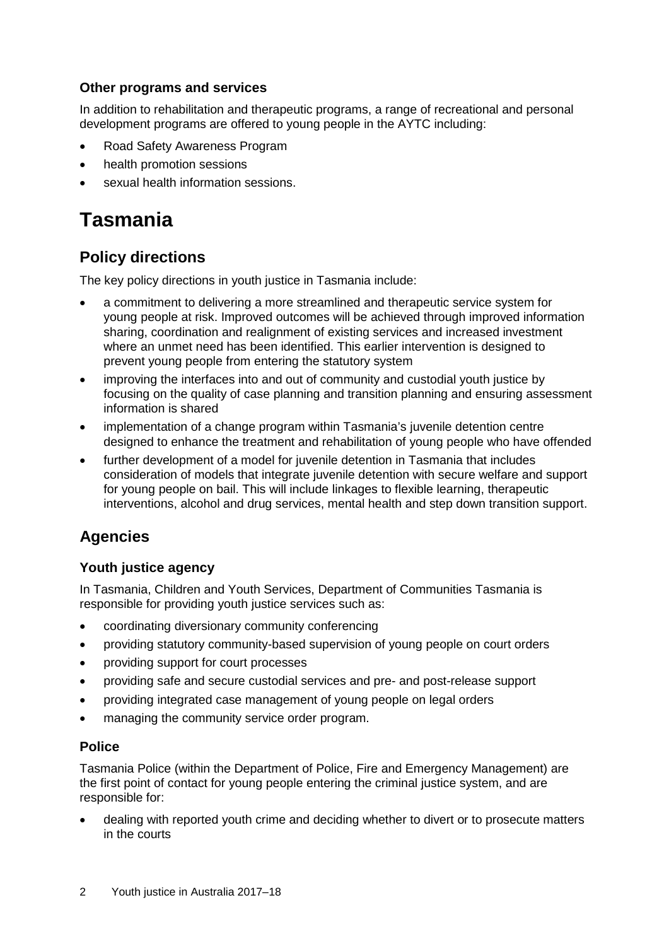## **Other programs and services**

In addition to rehabilitation and therapeutic programs, a range of recreational and personal development programs are offered to young people in the AYTC including:

- Road Safety Awareness Program
- health promotion sessions
- sexual health information sessions.

# **Tasmania**

# **Policy directions**

The key policy directions in youth justice in Tasmania include:

- a commitment to delivering a more streamlined and therapeutic service system for young people at risk. Improved outcomes will be achieved through improved information sharing, coordination and realignment of existing services and increased investment where an unmet need has been identified. This earlier intervention is designed to prevent young people from entering the statutory system
- improving the interfaces into and out of community and custodial youth justice by focusing on the quality of case planning and transition planning and ensuring assessment information is shared
- implementation of a change program within Tasmania's juvenile detention centre designed to enhance the treatment and rehabilitation of young people who have offended
- further development of a model for juvenile detention in Tasmania that includes consideration of models that integrate juvenile detention with secure welfare and support for young people on bail. This will include linkages to flexible learning, therapeutic interventions, alcohol and drug services, mental health and step down transition support.

# **Agencies**

#### **Youth justice agency**

In Tasmania, Children and Youth Services, Department of Communities Tasmania is responsible for providing youth justice services such as:

- coordinating diversionary community conferencing
- providing statutory community-based supervision of young people on court orders
- providing support for court processes
- providing safe and secure custodial services and pre- and post-release support
- providing integrated case management of young people on legal orders
- managing the community service order program.

#### **Police**

Tasmania Police (within the Department of Police, Fire and Emergency Management) are the first point of contact for young people entering the criminal justice system, and are responsible for:

• dealing with reported youth crime and deciding whether to divert or to prosecute matters in the courts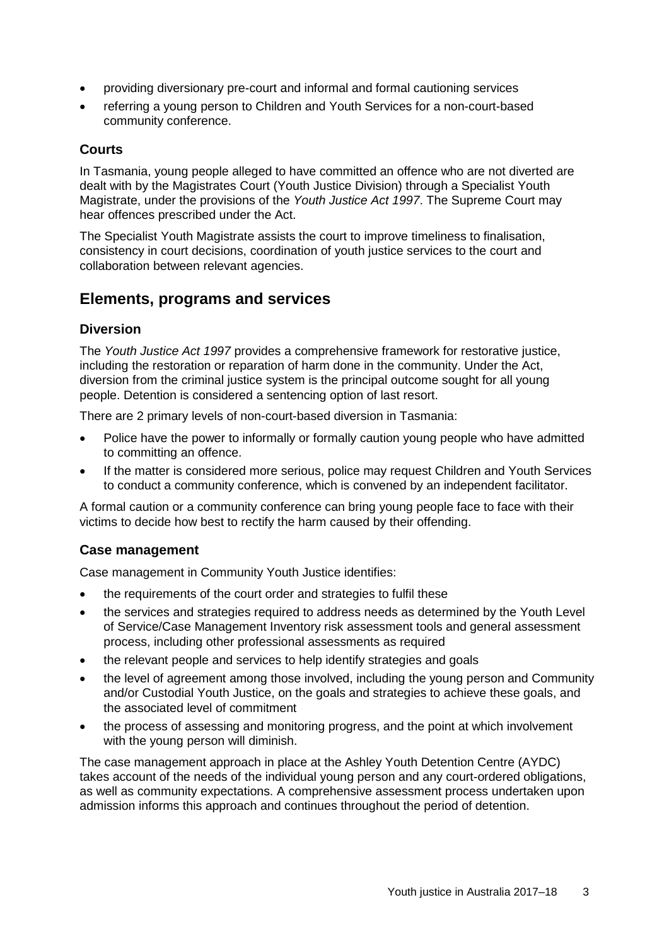- providing diversionary pre-court and informal and formal cautioning services
- referring a young person to Children and Youth Services for a non-court-based community conference.

# **Courts**

In Tasmania, young people alleged to have committed an offence who are not diverted are dealt with by the Magistrates Court (Youth Justice Division) through a Specialist Youth Magistrate, under the provisions of the *Youth Justice Act 1997*. The Supreme Court may hear offences prescribed under the Act.

The Specialist Youth Magistrate assists the court to improve timeliness to finalisation, consistency in court decisions, coordination of youth justice services to the court and collaboration between relevant agencies.

# **Elements, programs and services**

## **Diversion**

The *Youth Justice Act 1997* provides a comprehensive framework for restorative justice, including the restoration or reparation of harm done in the community. Under the Act, diversion from the criminal justice system is the principal outcome sought for all young people. Detention is considered a sentencing option of last resort.

There are 2 primary levels of non-court-based diversion in Tasmania:

- Police have the power to informally or formally caution young people who have admitted to committing an offence.
- If the matter is considered more serious, police may request Children and Youth Services to conduct a community conference, which is convened by an independent facilitator.

A formal caution or a community conference can bring young people face to face with their victims to decide how best to rectify the harm caused by their offending.

#### **Case management**

Case management in Community Youth Justice identifies:

- the requirements of the court order and strategies to fulfil these
- the services and strategies required to address needs as determined by the Youth Level of Service/Case Management Inventory risk assessment tools and general assessment process, including other professional assessments as required
- the relevant people and services to help identify strategies and goals
- the level of agreement among those involved, including the young person and Community and/or Custodial Youth Justice, on the goals and strategies to achieve these goals, and the associated level of commitment
- the process of assessing and monitoring progress, and the point at which involvement with the young person will diminish.

The case management approach in place at the Ashley Youth Detention Centre (AYDC) takes account of the needs of the individual young person and any court-ordered obligations, as well as community expectations. A comprehensive assessment process undertaken upon admission informs this approach and continues throughout the period of detention.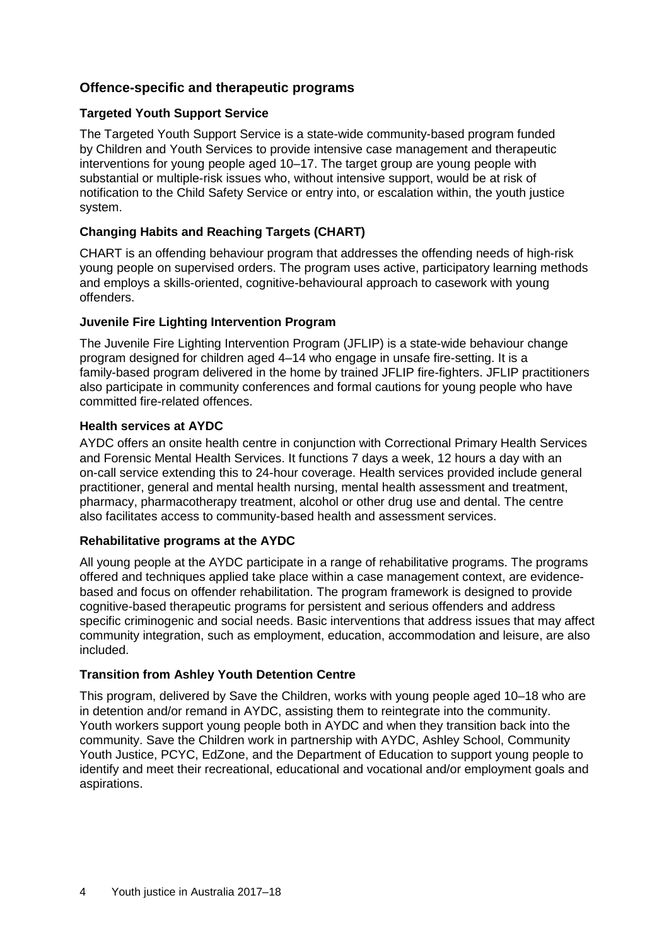## **Offence-specific and therapeutic programs**

#### **Targeted Youth Support Service**

The Targeted Youth Support Service is a state-wide community-based program funded by Children and Youth Services to provide intensive case management and therapeutic interventions for young people aged 10–17. The target group are young people with substantial or multiple-risk issues who, without intensive support, would be at risk of notification to the Child Safety Service or entry into, or escalation within, the youth justice system.

#### **Changing Habits and Reaching Targets (CHART)**

CHART is an offending behaviour program that addresses the offending needs of high-risk young people on supervised orders. The program uses active, participatory learning methods and employs a skills-oriented, cognitive-behavioural approach to casework with young offenders.

#### **Juvenile Fire Lighting Intervention Program**

The Juvenile Fire Lighting Intervention Program (JFLIP) is a state-wide behaviour change program designed for children aged 4–14 who engage in unsafe fire-setting. It is a family-based program delivered in the home by trained JFLIP fire-fighters. JFLIP practitioners also participate in community conferences and formal cautions for young people who have committed fire-related offences.

#### **Health services at AYDC**

AYDC offers an onsite health centre in conjunction with Correctional Primary Health Services and Forensic Mental Health Services. It functions 7 days a week, 12 hours a day with an on-call service extending this to 24-hour coverage. Health services provided include general practitioner, general and mental health nursing, mental health assessment and treatment, pharmacy, pharmacotherapy treatment, alcohol or other drug use and dental. The centre also facilitates access to community-based health and assessment services.

#### **Rehabilitative programs at the AYDC**

All young people at the AYDC participate in a range of rehabilitative programs. The programs offered and techniques applied take place within a case management context, are evidencebased and focus on offender rehabilitation. The program framework is designed to provide cognitive-based therapeutic programs for persistent and serious offenders and address specific criminogenic and social needs. Basic interventions that address issues that may affect community integration, such as employment, education, accommodation and leisure, are also included.

#### **Transition from Ashley Youth Detention Centre**

This program, delivered by Save the Children, works with young people aged 10–18 who are in detention and/or remand in AYDC, assisting them to reintegrate into the community. Youth workers support young people both in AYDC and when they transition back into the community. Save the Children work in partnership with AYDC, Ashley School, Community Youth Justice, PCYC, EdZone, and the Department of Education to support young people to identify and meet their recreational, educational and vocational and/or employment goals and aspirations.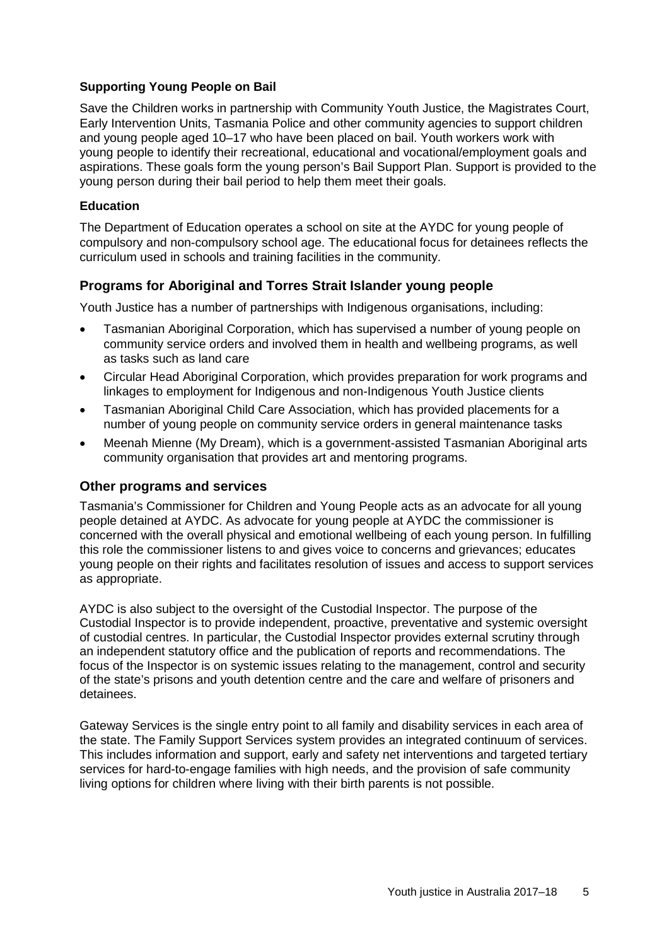#### **Supporting Young People on Bail**

Save the Children works in partnership with Community Youth Justice, the Magistrates Court, Early Intervention Units, Tasmania Police and other community agencies to support children and young people aged 10–17 who have been placed on bail. Youth workers work with young people to identify their recreational, educational and vocational/employment goals and aspirations. These goals form the young person's Bail Support Plan. Support is provided to the young person during their bail period to help them meet their goals.

#### **Education**

The Department of Education operates a school on site at the AYDC for young people of compulsory and non-compulsory school age. The educational focus for detainees reflects the curriculum used in schools and training facilities in the community.

#### **Programs for Aboriginal and Torres Strait Islander young people**

Youth Justice has a number of partnerships with Indigenous organisations, including:

- Tasmanian Aboriginal Corporation, which has supervised a number of young people on community service orders and involved them in health and wellbeing programs, as well as tasks such as land care
- Circular Head Aboriginal Corporation, which provides preparation for work programs and linkages to employment for Indigenous and non-Indigenous Youth Justice clients
- Tasmanian Aboriginal Child Care Association, which has provided placements for a number of young people on community service orders in general maintenance tasks
- Meenah Mienne (My Dream), which is a government-assisted Tasmanian Aboriginal arts community organisation that provides art and mentoring programs.

#### **Other programs and services**

Tasmania's Commissioner for Children and Young People acts as an advocate for all young people detained at AYDC. As advocate for young people at AYDC the commissioner is concerned with the overall physical and emotional wellbeing of each young person. In fulfilling this role the commissioner listens to and gives voice to concerns and grievances; educates young people on their rights and facilitates resolution of issues and access to support services as appropriate.

AYDC is also subject to the oversight of the Custodial Inspector. The purpose of the Custodial Inspector is to provide independent, proactive, preventative and systemic oversight of custodial centres. In particular, the Custodial Inspector provides external scrutiny through an independent statutory office and the publication of reports and recommendations. The focus of the Inspector is on systemic issues relating to the management, control and security of the state's prisons and youth detention centre and the care and welfare of prisoners and detainees.

Gateway Services is the single entry point to all family and disability services in each area of the state. The Family Support Services system provides an integrated continuum of services. This includes information and support, early and safety net interventions and targeted tertiary services for hard-to-engage families with high needs, and the provision of safe community living options for children where living with their birth parents is not possible.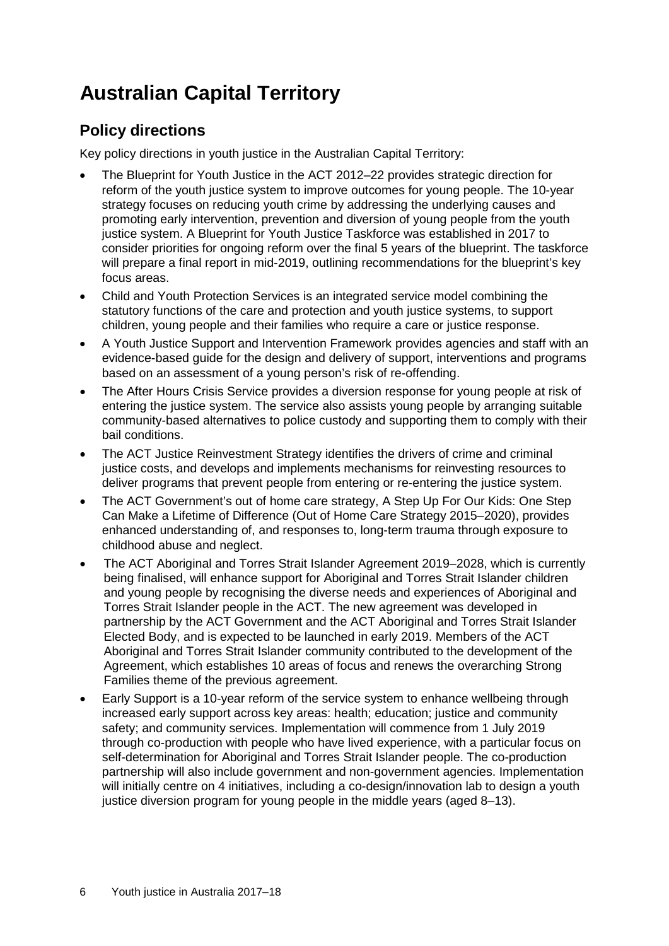# **Australian Capital Territory**

# **Policy directions**

Key policy directions in youth justice in the Australian Capital Territory:

- The Blueprint for Youth Justice in the ACT 2012–22 provides strategic direction for reform of the youth justice system to improve outcomes for young people. The 10-year strategy focuses on reducing youth crime by addressing the underlying causes and promoting early intervention, prevention and diversion of young people from the youth justice system. A Blueprint for Youth Justice Taskforce was established in 2017 to consider priorities for ongoing reform over the final 5 years of the blueprint. The taskforce will prepare a final report in mid-2019, outlining recommendations for the blueprint's key focus areas.
- Child and Youth Protection Services is an integrated service model combining the statutory functions of the care and protection and youth justice systems, to support children, young people and their families who require a care or justice response.
- A Youth Justice Support and Intervention Framework provides agencies and staff with an evidence-based guide for the design and delivery of support, interventions and programs based on an assessment of a young person's risk of re-offending.
- The After Hours Crisis Service provides a diversion response for young people at risk of entering the justice system. The service also assists young people by arranging suitable community-based alternatives to police custody and supporting them to comply with their bail conditions.
- The ACT Justice Reinvestment Strategy identifies the drivers of crime and criminal justice costs, and develops and implements mechanisms for reinvesting resources to deliver programs that prevent people from entering or re-entering the justice system.
- The ACT Government's out of home care strategy, A Step Up For Our Kids: One Step Can Make a Lifetime of Difference (Out of Home Care Strategy 2015–2020), provides enhanced understanding of, and responses to, long-term trauma through exposure to childhood abuse and neglect.
- The ACT Aboriginal and Torres Strait Islander Agreement 2019–2028, which is currently being finalised, will enhance support for Aboriginal and Torres Strait Islander children and young people by recognising the diverse needs and experiences of Aboriginal and Torres Strait Islander people in the ACT. The new agreement was developed in partnership by the ACT Government and the ACT Aboriginal and Torres Strait Islander Elected Body, and is expected to be launched in early 2019. Members of the ACT Aboriginal and Torres Strait Islander community contributed to the development of the Agreement, which establishes 10 areas of focus and renews the overarching Strong Families theme of the previous agreement.
- Early Support is a 10-year reform of the service system to enhance wellbeing through increased early support across key areas: health; education; justice and community safety; and community services. Implementation will commence from 1 July 2019 through co-production with people who have lived experience, with a particular focus on self-determination for Aboriginal and Torres Strait Islander people. The co-production partnership will also include government and non-government agencies. Implementation will initially centre on 4 initiatives, including a co-design/innovation lab to design a youth justice diversion program for young people in the middle years (aged 8–13).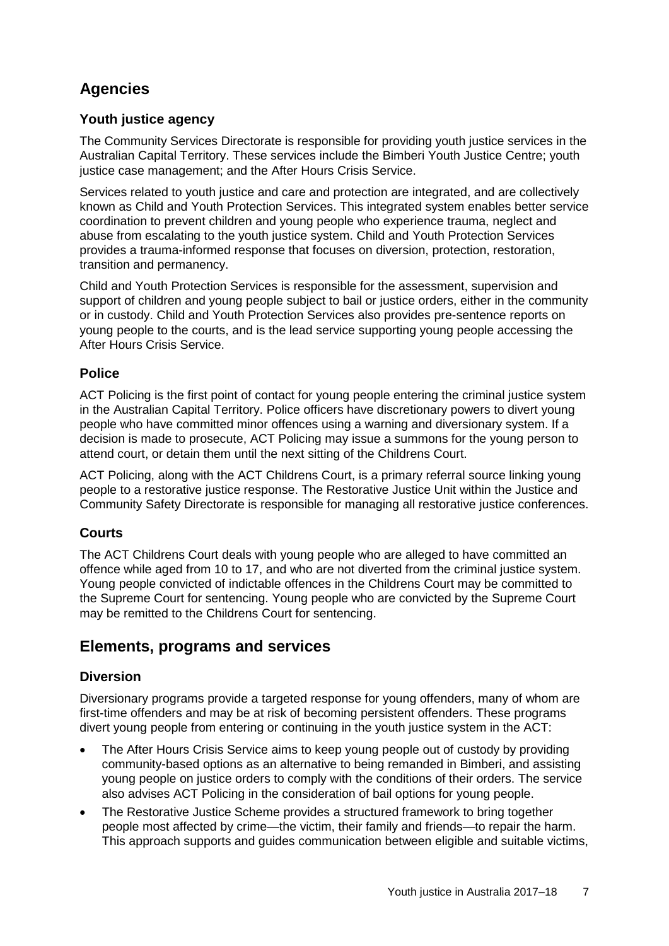# **Agencies**

# **Youth justice agency**

The Community Services Directorate is responsible for providing youth justice services in the Australian Capital Territory. These services include the Bimberi Youth Justice Centre; youth justice case management; and the After Hours Crisis Service.

Services related to youth justice and care and protection are integrated, and are collectively known as Child and Youth Protection Services. This integrated system enables better service coordination to prevent children and young people who experience trauma, neglect and abuse from escalating to the youth justice system. Child and Youth Protection Services provides a trauma-informed response that focuses on diversion, protection, restoration, transition and permanency.

Child and Youth Protection Services is responsible for the assessment, supervision and support of children and young people subject to bail or justice orders, either in the community or in custody. Child and Youth Protection Services also provides pre-sentence reports on young people to the courts, and is the lead service supporting young people accessing the After Hours Crisis Service.

# **Police**

ACT Policing is the first point of contact for young people entering the criminal justice system in the Australian Capital Territory. Police officers have discretionary powers to divert young people who have committed minor offences using a warning and diversionary system. If a decision is made to prosecute, ACT Policing may issue a summons for the young person to attend court, or detain them until the next sitting of the Childrens Court.

ACT Policing, along with the ACT Childrens Court, is a primary referral source linking young people to a restorative justice response. The Restorative Justice Unit within the Justice and Community Safety Directorate is responsible for managing all restorative justice conferences.

# **Courts**

The ACT Childrens Court deals with young people who are alleged to have committed an offence while aged from 10 to 17, and who are not diverted from the criminal justice system. Young people convicted of indictable offences in the Childrens Court may be committed to the Supreme Court for sentencing. Young people who are convicted by the Supreme Court may be remitted to the Childrens Court for sentencing.

# **Elements, programs and services**

# **Diversion**

Diversionary programs provide a targeted response for young offenders, many of whom are first-time offenders and may be at risk of becoming persistent offenders. These programs divert young people from entering or continuing in the youth justice system in the ACT:

- The After Hours Crisis Service aims to keep young people out of custody by providing community-based options as an alternative to being remanded in Bimberi, and assisting young people on justice orders to comply with the conditions of their orders. The service also advises ACT Policing in the consideration of bail options for young people.
- The Restorative Justice Scheme provides a structured framework to bring together people most affected by crime—the victim, their family and friends—to repair the harm. This approach supports and guides communication between eligible and suitable victims,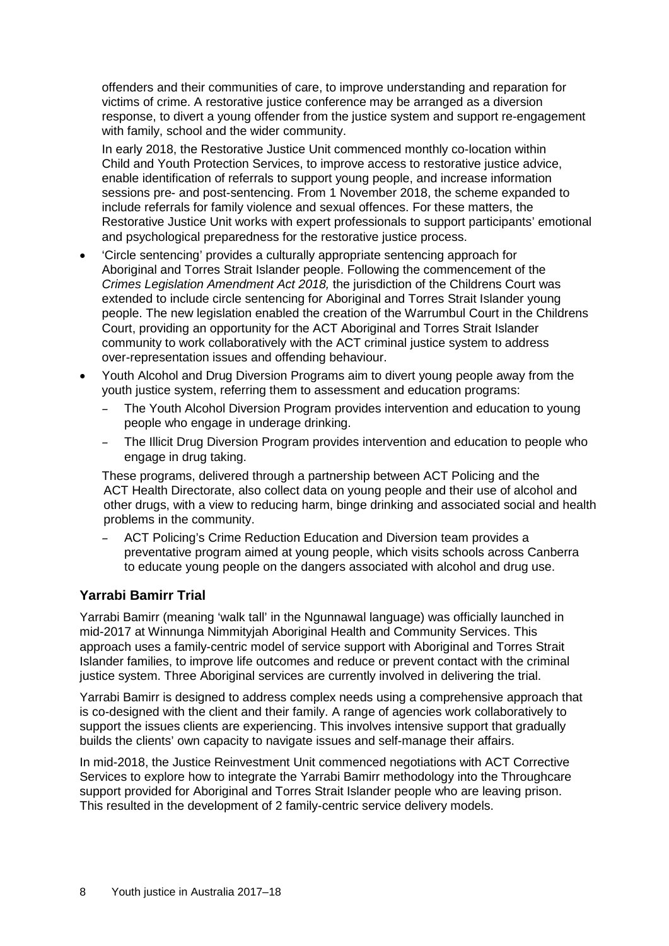offenders and their communities of care, to improve understanding and reparation for victims of crime. A restorative justice conference may be arranged as a diversion response, to divert a young offender from the justice system and support re-engagement with family, school and the wider community.

In early 2018, the Restorative Justice Unit commenced monthly co-location within Child and Youth Protection Services, to improve access to restorative justice advice, enable identification of referrals to support young people, and increase information sessions pre- and post-sentencing. From 1 November 2018, the scheme expanded to include referrals for family violence and sexual offences. For these matters, the Restorative Justice Unit works with expert professionals to support participants' emotional and psychological preparedness for the restorative justice process.

- 'Circle sentencing' provides a culturally appropriate sentencing approach for Aboriginal and Torres Strait Islander people. Following the commencement of the *Crimes Legislation Amendment Act 2018,* the jurisdiction of the Childrens Court was extended to include circle sentencing for Aboriginal and Torres Strait Islander young people. The new legislation enabled the creation of the Warrumbul Court in the Childrens Court, providing an opportunity for the ACT Aboriginal and Torres Strait Islander community to work collaboratively with the ACT criminal justice system to address over-representation issues and offending behaviour.
- Youth Alcohol and Drug Diversion Programs aim to divert young people away from the youth justice system, referring them to assessment and education programs:
	- The Youth Alcohol Diversion Program provides intervention and education to young people who engage in underage drinking.
	- The Illicit Drug Diversion Program provides intervention and education to people who engage in drug taking.

These programs, delivered through a partnership between ACT Policing and the ACT Health Directorate, also collect data on young people and their use of alcohol and other drugs, with a view to reducing harm, binge drinking and associated social and health problems in the community.

– ACT Policing's Crime Reduction Education and Diversion team provides a preventative program aimed at young people, which visits schools across Canberra to educate young people on the dangers associated with alcohol and drug use.

# **Yarrabi Bamirr Trial**

Yarrabi Bamirr (meaning 'walk tall' in the Ngunnawal language) was officially launched in mid-2017 at Winnunga Nimmityjah Aboriginal Health and Community Services. This approach uses a family-centric model of service support with Aboriginal and Torres Strait Islander families, to improve life outcomes and reduce or prevent contact with the criminal justice system. Three Aboriginal services are currently involved in delivering the trial.

Yarrabi Bamirr is designed to address complex needs using a comprehensive approach that is co-designed with the client and their family. A range of agencies work collaboratively to support the issues clients are experiencing. This involves intensive support that gradually builds the clients' own capacity to navigate issues and self-manage their affairs.

In mid-2018, the Justice Reinvestment Unit commenced negotiations with ACT Corrective Services to explore how to integrate the Yarrabi Bamirr methodology into the Throughcare support provided for Aboriginal and Torres Strait Islander people who are leaving prison. This resulted in the development of 2 family-centric service delivery models.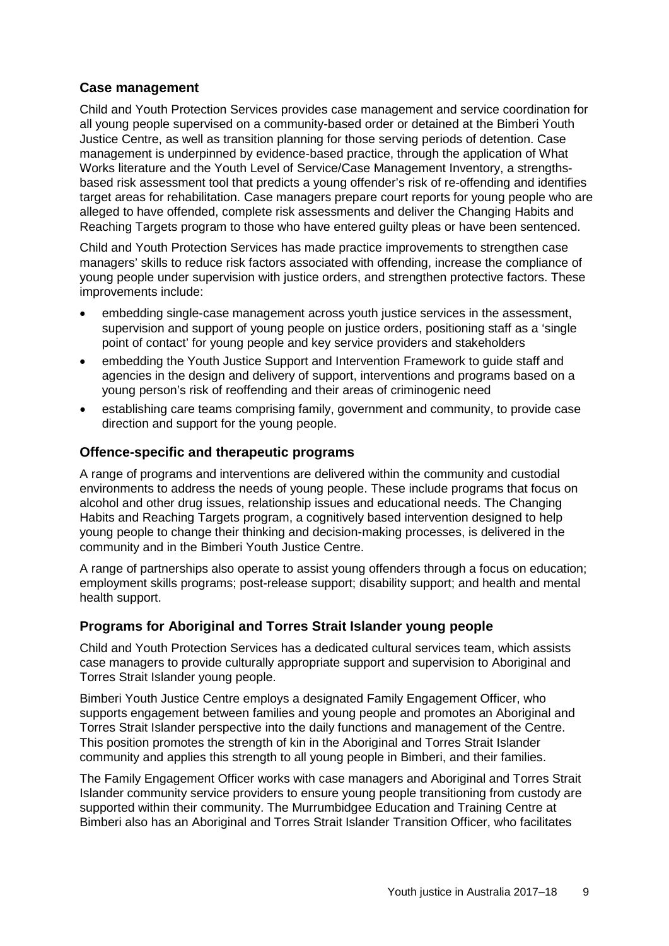#### **Case management**

Child and Youth Protection Services provides case management and service coordination for all young people supervised on a community-based order or detained at the Bimberi Youth Justice Centre, as well as transition planning for those serving periods of detention. Case management is underpinned by evidence-based practice, through the application of What Works literature and the Youth Level of Service/Case Management Inventory, a strengthsbased risk assessment tool that predicts a young offender's risk of re-offending and identifies target areas for rehabilitation. Case managers prepare court reports for young people who are alleged to have offended, complete risk assessments and deliver the Changing Habits and Reaching Targets program to those who have entered guilty pleas or have been sentenced.

Child and Youth Protection Services has made practice improvements to strengthen case managers' skills to reduce risk factors associated with offending, increase the compliance of young people under supervision with justice orders, and strengthen protective factors. These improvements include:

- embedding single-case management across youth justice services in the assessment, supervision and support of young people on justice orders, positioning staff as a 'single point of contact' for young people and key service providers and stakeholders
- embedding the Youth Justice Support and Intervention Framework to guide staff and agencies in the design and delivery of support, interventions and programs based on a young person's risk of reoffending and their areas of criminogenic need
- establishing care teams comprising family, government and community, to provide case direction and support for the young people.

#### **Offence-specific and therapeutic programs**

A range of programs and interventions are delivered within the community and custodial environments to address the needs of young people. These include programs that focus on alcohol and other drug issues, relationship issues and educational needs. The Changing Habits and Reaching Targets program, a cognitively based intervention designed to help young people to change their thinking and decision-making processes, is delivered in the community and in the Bimberi Youth Justice Centre.

A range of partnerships also operate to assist young offenders through a focus on education; employment skills programs; post-release support; disability support; and health and mental health support.

#### **Programs for Aboriginal and Torres Strait Islander young people**

Child and Youth Protection Services has a dedicated cultural services team, which assists case managers to provide culturally appropriate support and supervision to Aboriginal and Torres Strait Islander young people.

Bimberi Youth Justice Centre employs a designated Family Engagement Officer, who supports engagement between families and young people and promotes an Aboriginal and Torres Strait Islander perspective into the daily functions and management of the Centre. This position promotes the strength of kin in the Aboriginal and Torres Strait Islander community and applies this strength to all young people in Bimberi, and their families.

The Family Engagement Officer works with case managers and Aboriginal and Torres Strait Islander community service providers to ensure young people transitioning from custody are supported within their community. The Murrumbidgee Education and Training Centre at Bimberi also has an Aboriginal and Torres Strait Islander Transition Officer, who facilitates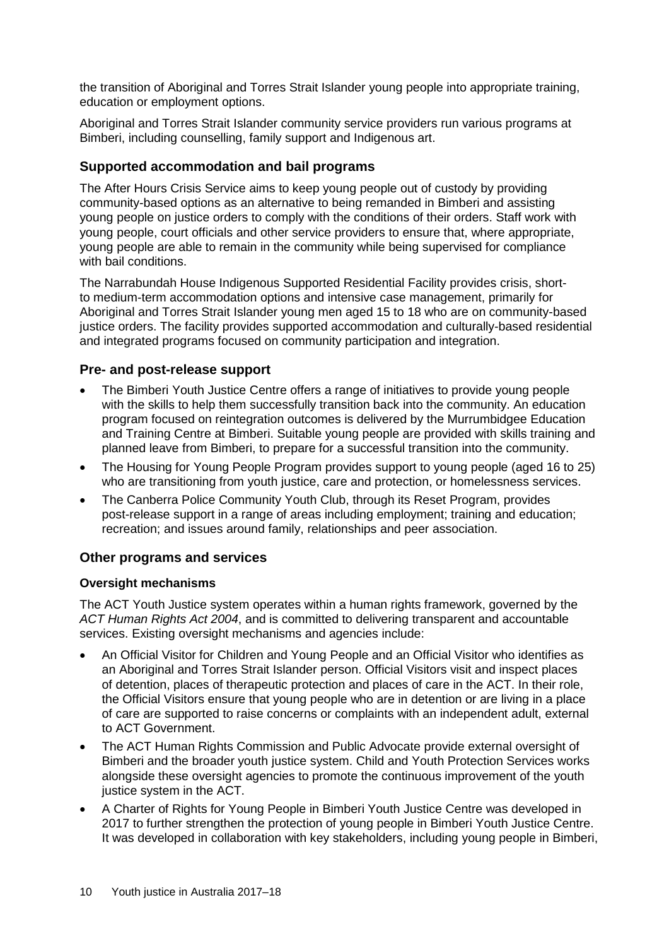the transition of Aboriginal and Torres Strait Islander young people into appropriate training, education or employment options.

Aboriginal and Torres Strait Islander community service providers run various programs at Bimberi, including counselling, family support and Indigenous art.

#### **Supported accommodation and bail programs**

The After Hours Crisis Service aims to keep young people out of custody by providing community-based options as an alternative to being remanded in Bimberi and assisting young people on justice orders to comply with the conditions of their orders. Staff work with young people, court officials and other service providers to ensure that, where appropriate, young people are able to remain in the community while being supervised for compliance with bail conditions.

The Narrabundah House Indigenous Supported Residential Facility provides crisis, shortto medium-term accommodation options and intensive case management, primarily for Aboriginal and Torres Strait Islander young men aged 15 to 18 who are on community-based justice orders. The facility provides supported accommodation and culturally-based residential and integrated programs focused on community participation and integration.

#### **Pre- and post-release support**

- The Bimberi Youth Justice Centre offers a range of initiatives to provide young people with the skills to help them successfully transition back into the community. An education program focused on reintegration outcomes is delivered by the Murrumbidgee Education and Training Centre at Bimberi. Suitable young people are provided with skills training and planned leave from Bimberi, to prepare for a successful transition into the community.
- The Housing for Young People Program provides support to young people (aged 16 to 25) who are transitioning from youth justice, care and protection, or homelessness services.
- The Canberra Police Community Youth Club, through its Reset Program, provides post-release support in a range of areas including employment; training and education; recreation; and issues around family, relationships and peer association.

#### **Other programs and services**

#### **Oversight mechanisms**

The ACT Youth Justice system operates within a human rights framework, governed by the *ACT Human Rights Act 2004*, and is committed to delivering transparent and accountable services. Existing oversight mechanisms and agencies include:

- An Official Visitor for Children and Young People and an Official Visitor who identifies as an Aboriginal and Torres Strait Islander person. Official Visitors visit and inspect places of detention, places of therapeutic protection and places of care in the ACT. In their role, the Official Visitors ensure that young people who are in detention or are living in a place of care are supported to raise concerns or complaints with an independent adult, external to ACT Government.
- The ACT Human Rights Commission and Public Advocate provide external oversight of Bimberi and the broader youth justice system. Child and Youth Protection Services works alongside these oversight agencies to promote the continuous improvement of the youth justice system in the ACT.
- A Charter of Rights for Young People in Bimberi Youth Justice Centre was developed in 2017 to further strengthen the protection of young people in Bimberi Youth Justice Centre. It was developed in collaboration with key stakeholders, including young people in Bimberi,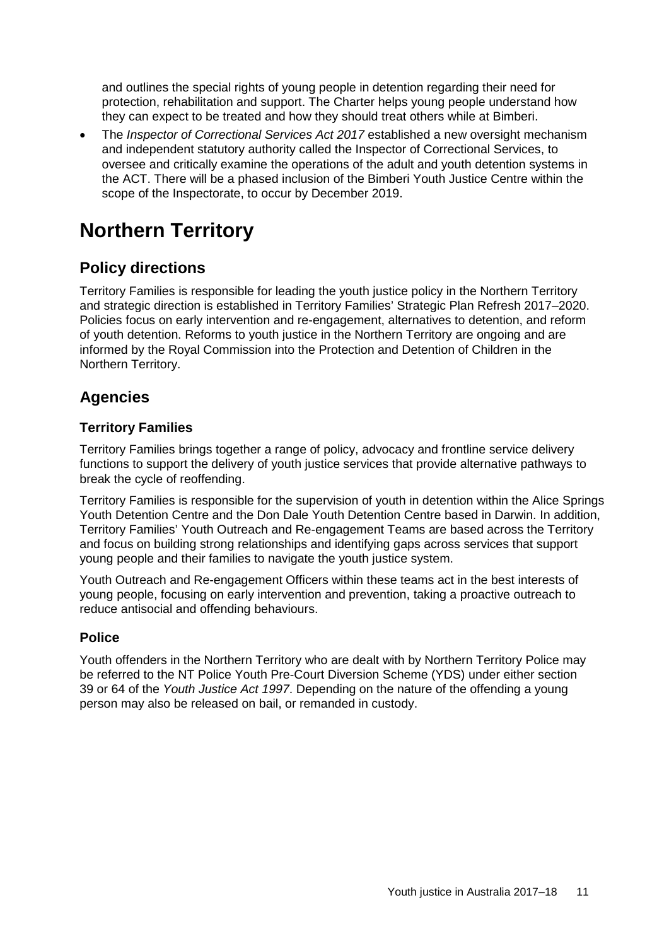and outlines the special rights of young people in detention regarding their need for protection, rehabilitation and support. The Charter helps young people understand how they can expect to be treated and how they should treat others while at Bimberi.

• The *Inspector of Correctional Services Act 2017* established a new oversight mechanism and independent statutory authority called the Inspector of Correctional Services, to oversee and critically examine the operations of the adult and youth detention systems in the ACT. There will be a phased inclusion of the Bimberi Youth Justice Centre within the scope of the Inspectorate, to occur by December 2019.

# **Northern Territory**

# **Policy directions**

Territory Families is responsible for leading the youth justice policy in the Northern Territory and strategic direction is established in Territory Families' Strategic Plan Refresh 2017–2020. Policies focus on early intervention and re-engagement, alternatives to detention, and reform of youth detention. Reforms to youth justice in the Northern Territory are ongoing and are informed by the Royal Commission into the Protection and Detention of Children in the Northern Territory.

# **Agencies**

# **Territory Families**

Territory Families brings together a range of policy, advocacy and frontline service delivery functions to support the delivery of youth justice services that provide alternative pathways to break the cycle of reoffending.

Territory Families is responsible for the supervision of youth in detention within the Alice Springs Youth Detention Centre and the Don Dale Youth Detention Centre based in Darwin. In addition, Territory Families' Youth Outreach and Re-engagement Teams are based across the Territory and focus on building strong relationships and identifying gaps across services that support young people and their families to navigate the youth justice system.

Youth Outreach and Re-engagement Officers within these teams act in the best interests of young people, focusing on early intervention and prevention, taking a proactive outreach to reduce antisocial and offending behaviours.

# **Police**

Youth offenders in the Northern Territory who are dealt with by Northern Territory Police may be referred to the NT Police Youth Pre-Court Diversion Scheme (YDS) under either section 39 or 64 of the *Youth Justice Act 1997*. Depending on the nature of the offending a young person may also be released on bail, or remanded in custody.